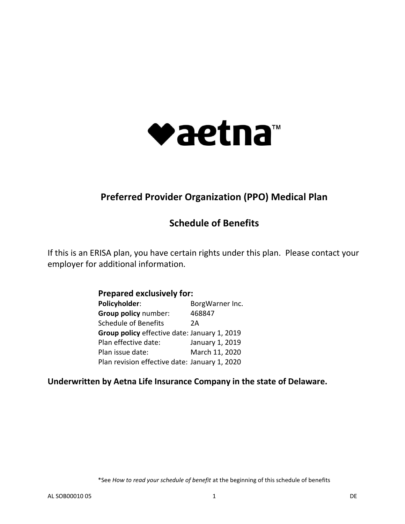

# **Preferred Provider Organization (PPO) Medical Plan**

# **Schedule of Benefits**

If this is an ERISA plan, you have certain rights under this plan. Please contact your employer for additional information.

| <b>Prepared exclusively for:</b>              |                 |  |  |  |
|-----------------------------------------------|-----------------|--|--|--|
| Policyholder:                                 | BorgWarner Inc. |  |  |  |
| Group policy number:                          | 468847          |  |  |  |
| Schedule of Benefits                          | 2 A             |  |  |  |
| Group policy effective date: January 1, 2019  |                 |  |  |  |
| Plan effective date:                          | January 1, 2019 |  |  |  |
| Plan issue date:                              | March 11, 2020  |  |  |  |
| Plan revision effective date: January 1, 2020 |                 |  |  |  |

## **Underwritten by Aetna Life Insurance Company in the state of Delaware.**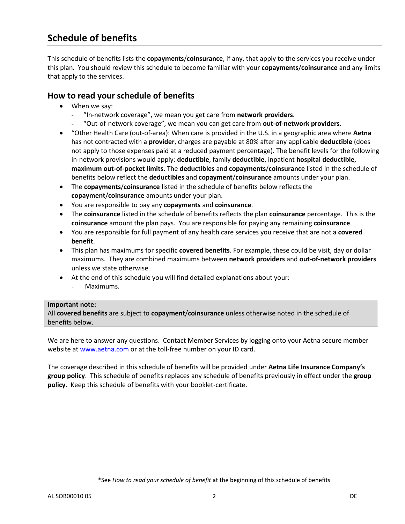# **Schedule of benefits**

This schedule of benefits lists the **copayments**/**coinsurance**, if any, that apply to the services you receive under this plan. You should review this schedule to become familiar with your **copayments**/**coinsurance** and any limits that apply to the services.

### **How to read your schedule of benefits**

- When we say:
	- "In-network coverage", we mean you get care from **network providers**.
	- "Out-of-network coverage", we mean you can get care from **out-of-network providers**.
- "Other Health Care (out-of-area): When care is provided in the U.S. in a geographic area where **Aetna**  has not contracted with a **provider**, charges are payable at 80% after any applicable **deductible** (does not apply to those expenses paid at a reduced payment percentage). The benefit levels for the following in-network provisions would apply: **deductible**, family **deductible**, inpatient **hospital deductible**, **maximum out-of-pocket limits.** The **deductibles** and **copayments**/**coinsurance** listed in the schedule of benefits below reflect the **deductibles** and **copayment**/**coinsurance** amounts under your plan.
- The **copayments**/**coinsurance** listed in the schedule of benefits below reflects the **copayment**/**coinsurance** amounts under your plan.
- You are responsible to pay any **copayments** and **coinsurance**.
- The **coinsurance** listed in the schedule of benefits reflects the plan **coinsurance** percentage. This is the **coinsurance** amount the plan pays. You are responsible for paying any remaining **coinsurance**.
- You are responsible for full payment of any health care services you receive that are not a **covered benefit**.
- This plan has maximums for specific **covered benefits**. For example, these could be visit, day or dollar maximums. They are combined maximums between **network providers** and **out-of-network providers** unless we state otherwise.
- At the end of this schedule you will find detailed explanations about your:
	- Maximums.

#### **Important note:**

All **covered benefits** are subject to **copayment**/**coinsurance** unless otherwise noted in the schedule of benefits below.

We are here to answer any questions. Contact Member Services by logging onto your Aetna secure member website at [www.aetna.com](https://www.aetna.com/) or at the toll-free number on your ID card.

The coverage described in this schedule of benefits will be provided under **Aetna Life Insurance Company's group policy**. This schedule of benefits replaces any schedule of benefits previously in effect under the **group policy**. Keep this schedule of benefits with your booklet-certificate.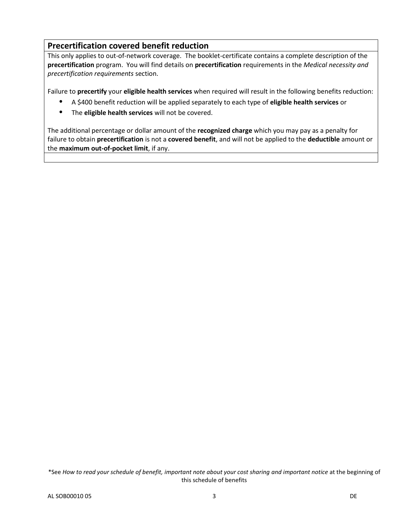### **Precertification covered benefit reduction**

This only applies to out-of-network coverage. The booklet-certificate contains a complete description of the **precertification** program. You will find details on **precertification** requirements in the *Medical necessity and precertification requirements* section.

Failure to **precertify** your **eligible health services** when required will result in the following benefits reduction:

- **•** A \$400 benefit reduction will be applied separately to each type of **eligible health services** or
- **•** The **eligible health services** will not be covered.

The additional percentage or dollar amount of the **recognized charge** which you may pay as a penalty for failure to obtain **precertification** is not a **covered benefit**, and will not be applied to the **deductible** amount or the **maximum out-of-pocket limit**, if any.

\*See *How to read your schedule of benefit, important note about your cost sharing and important notice* at the beginning of this schedule of benefits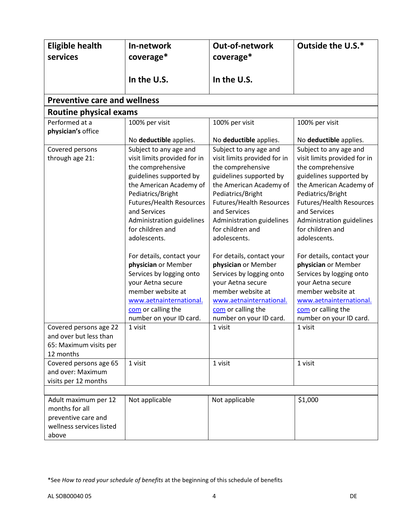| <b>Eligible health</b><br>services                                                                 | In-network<br>coverage*                                                                                                                                                                                                                                                                                                                                                                                                                                                                                    | <b>Out-of-network</b><br>coverage*                                                                                                                                                                                                                                                                                                                                                                                                                                                                         | Outside the U.S.*                                                                                                                                                                                                                                                                                                                                                                                                                                                                                          |
|----------------------------------------------------------------------------------------------------|------------------------------------------------------------------------------------------------------------------------------------------------------------------------------------------------------------------------------------------------------------------------------------------------------------------------------------------------------------------------------------------------------------------------------------------------------------------------------------------------------------|------------------------------------------------------------------------------------------------------------------------------------------------------------------------------------------------------------------------------------------------------------------------------------------------------------------------------------------------------------------------------------------------------------------------------------------------------------------------------------------------------------|------------------------------------------------------------------------------------------------------------------------------------------------------------------------------------------------------------------------------------------------------------------------------------------------------------------------------------------------------------------------------------------------------------------------------------------------------------------------------------------------------------|
|                                                                                                    | In the U.S.                                                                                                                                                                                                                                                                                                                                                                                                                                                                                                | In the U.S.                                                                                                                                                                                                                                                                                                                                                                                                                                                                                                |                                                                                                                                                                                                                                                                                                                                                                                                                                                                                                            |
| <b>Preventive care and wellness</b>                                                                |                                                                                                                                                                                                                                                                                                                                                                                                                                                                                                            |                                                                                                                                                                                                                                                                                                                                                                                                                                                                                                            |                                                                                                                                                                                                                                                                                                                                                                                                                                                                                                            |
| Routine physical exams                                                                             |                                                                                                                                                                                                                                                                                                                                                                                                                                                                                                            |                                                                                                                                                                                                                                                                                                                                                                                                                                                                                                            |                                                                                                                                                                                                                                                                                                                                                                                                                                                                                                            |
| Performed at a<br>physician's office                                                               | 100% per visit                                                                                                                                                                                                                                                                                                                                                                                                                                                                                             | 100% per visit                                                                                                                                                                                                                                                                                                                                                                                                                                                                                             | 100% per visit                                                                                                                                                                                                                                                                                                                                                                                                                                                                                             |
| Covered persons<br>through age 21:                                                                 | No deductible applies.<br>Subject to any age and<br>visit limits provided for in<br>the comprehensive<br>guidelines supported by<br>the American Academy of<br>Pediatrics/Bright<br><b>Futures/Health Resources</b><br>and Services<br>Administration guidelines<br>for children and<br>adolescents.<br>For details, contact your<br>physician or Member<br>Services by logging onto<br>your Aetna secure<br>member website at<br>www.aetnainternational.<br>com or calling the<br>number on your ID card. | No deductible applies.<br>Subject to any age and<br>visit limits provided for in<br>the comprehensive<br>guidelines supported by<br>the American Academy of<br>Pediatrics/Bright<br><b>Futures/Health Resources</b><br>and Services<br>Administration guidelines<br>for children and<br>adolescents.<br>For details, contact your<br>physician or Member<br>Services by logging onto<br>your Aetna secure<br>member website at<br>www.aetnainternational.<br>com or calling the<br>number on your ID card. | No deductible applies.<br>Subject to any age and<br>visit limits provided for in<br>the comprehensive<br>guidelines supported by<br>the American Academy of<br>Pediatrics/Bright<br><b>Futures/Health Resources</b><br>and Services<br>Administration guidelines<br>for children and<br>adolescents.<br>For details, contact your<br>physician or Member<br>Services by logging onto<br>your Aetna secure<br>member website at<br>www.aetnainternational.<br>com or calling the<br>number on your ID card. |
| Covered persons age 22<br>and over but less than<br>65: Maximum visits per<br>12 months            | 1 visit                                                                                                                                                                                                                                                                                                                                                                                                                                                                                                    | 1 visit                                                                                                                                                                                                                                                                                                                                                                                                                                                                                                    | 1 visit                                                                                                                                                                                                                                                                                                                                                                                                                                                                                                    |
| Covered persons age 65<br>and over: Maximum<br>visits per 12 months                                | 1 visit                                                                                                                                                                                                                                                                                                                                                                                                                                                                                                    | 1 visit                                                                                                                                                                                                                                                                                                                                                                                                                                                                                                    | 1 visit                                                                                                                                                                                                                                                                                                                                                                                                                                                                                                    |
|                                                                                                    |                                                                                                                                                                                                                                                                                                                                                                                                                                                                                                            |                                                                                                                                                                                                                                                                                                                                                                                                                                                                                                            |                                                                                                                                                                                                                                                                                                                                                                                                                                                                                                            |
| Adult maximum per 12<br>months for all<br>preventive care and<br>wellness services listed<br>above | Not applicable                                                                                                                                                                                                                                                                                                                                                                                                                                                                                             | Not applicable                                                                                                                                                                                                                                                                                                                                                                                                                                                                                             | \$1,000                                                                                                                                                                                                                                                                                                                                                                                                                                                                                                    |

<sup>\*</sup>See *How to read your schedule of benefits* at the beginning of this schedule of benefits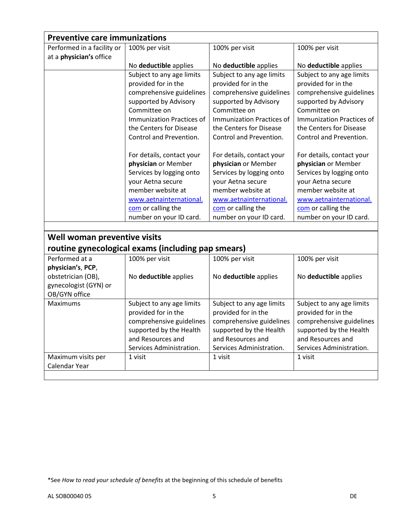| <b>Preventive care immunizations</b> |                                                    |                           |                           |
|--------------------------------------|----------------------------------------------------|---------------------------|---------------------------|
| Performed in a facility or           | 100% per visit                                     | 100% per visit            | 100% per visit            |
| at a physician's office              |                                                    |                           |                           |
|                                      | No deductible applies                              | No deductible applies     | No deductible applies     |
|                                      | Subject to any age limits                          | Subject to any age limits | Subject to any age limits |
|                                      | provided for in the                                | provided for in the       | provided for in the       |
|                                      | comprehensive guidelines                           | comprehensive guidelines  | comprehensive guidelines  |
|                                      | supported by Advisory                              | supported by Advisory     | supported by Advisory     |
|                                      | Committee on                                       | Committee on              | Committee on              |
|                                      | Immunization Practices of                          | Immunization Practices of | Immunization Practices of |
|                                      | the Centers for Disease                            | the Centers for Disease   | the Centers for Disease   |
|                                      | Control and Prevention.                            | Control and Prevention.   | Control and Prevention.   |
|                                      | For details, contact your                          | For details, contact your | For details, contact your |
|                                      | physician or Member                                | physician or Member       | physician or Member       |
|                                      | Services by logging onto                           | Services by logging onto  | Services by logging onto  |
|                                      | your Aetna secure                                  | your Aetna secure         | your Aetna secure         |
|                                      | member website at                                  | member website at         | member website at         |
|                                      | www.aetnainternational.                            | www.aetnainternational.   | www.aetnainternational.   |
|                                      | com or calling the                                 | com or calling the        | com or calling the        |
|                                      | number on your ID card.                            | number on your ID card.   | number on your ID card.   |
|                                      |                                                    |                           |                           |
| Well woman preventive visits         |                                                    |                           |                           |
|                                      | routine gynecological exams (including pap smears) |                           |                           |
| Performed at a                       | 100% per visit                                     | 100% per visit            | 100% per visit            |
| physician's, PCP,                    |                                                    |                           |                           |
| obstetrician (OB),                   | No deductible applies                              | No deductible applies     | No deductible applies     |
| gynecologist (GYN) or                |                                                    |                           |                           |
| OB/GYN office                        |                                                    |                           |                           |
| <b>Maximums</b>                      | Subject to any age limits                          | Subject to any age limits | Subject to any age limits |
|                                      | provided for in the                                | provided for in the       | provided for in the       |
|                                      | comprehensive guidelines                           | comprehensive guidelines  | comprehensive guidelines  |
|                                      | supported by the Health                            | supported by the Health   | supported by the Health   |
|                                      | and Resources and                                  | and Resources and         | and Resources and         |
|                                      | Services Administration.                           | Services Administration.  | Services Administration.  |
| Maximum visits per                   | 1 visit                                            | 1 visit                   | 1 visit                   |
| Calendar Year                        |                                                    |                           |                           |
|                                      |                                                    |                           |                           |

<sup>\*</sup>See *How to read your schedule of benefits* at the beginning of this schedule of benefits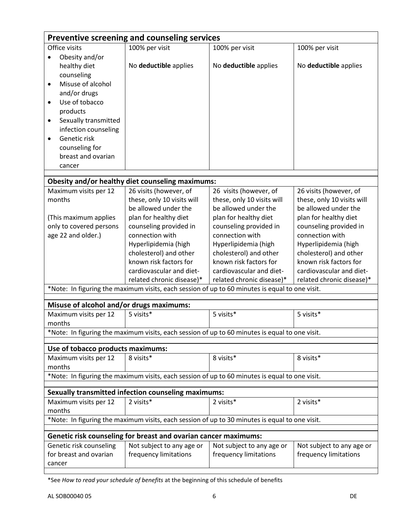|                                          | Preventive screening and counseling services                    |                                                                                                |                            |
|------------------------------------------|-----------------------------------------------------------------|------------------------------------------------------------------------------------------------|----------------------------|
| Office visits                            | 100% per visit                                                  | 100% per visit                                                                                 | 100% per visit             |
| Obesity and/or                           |                                                                 |                                                                                                |                            |
| healthy diet                             | No deductible applies                                           | No deductible applies                                                                          | No deductible applies      |
| counseling                               |                                                                 |                                                                                                |                            |
| Misuse of alcohol<br>$\bullet$           |                                                                 |                                                                                                |                            |
| and/or drugs                             |                                                                 |                                                                                                |                            |
| Use of tobacco<br>$\bullet$              |                                                                 |                                                                                                |                            |
| products                                 |                                                                 |                                                                                                |                            |
| Sexually transmitted<br>$\bullet$        |                                                                 |                                                                                                |                            |
| infection counseling                     |                                                                 |                                                                                                |                            |
| Genetic risk<br>$\bullet$                |                                                                 |                                                                                                |                            |
| counseling for                           |                                                                 |                                                                                                |                            |
| breast and ovarian                       |                                                                 |                                                                                                |                            |
| cancer                                   |                                                                 |                                                                                                |                            |
|                                          |                                                                 |                                                                                                |                            |
|                                          | Obesity and/or healthy diet counseling maximums:                |                                                                                                |                            |
| Maximum visits per 12                    | 26 visits (however, of                                          | 26 visits (however, of                                                                         | 26 visits (however, of     |
| months                                   | these, only 10 visits will                                      | these, only 10 visits will                                                                     | these, only 10 visits will |
|                                          | be allowed under the                                            | be allowed under the                                                                           | be allowed under the       |
| (This maximum applies                    | plan for healthy diet                                           | plan for healthy diet                                                                          | plan for healthy diet      |
| only to covered persons                  | counseling provided in                                          | counseling provided in                                                                         | counseling provided in     |
| age 22 and older.)                       | connection with                                                 | connection with                                                                                | connection with            |
|                                          | Hyperlipidemia (high                                            | Hyperlipidemia (high                                                                           | Hyperlipidemia (high       |
|                                          | cholesterol) and other                                          | cholesterol) and other                                                                         | cholesterol) and other     |
|                                          | known risk factors for                                          | known risk factors for                                                                         | known risk factors for     |
|                                          | cardiovascular and diet-                                        | cardiovascular and diet-                                                                       | cardiovascular and diet-   |
|                                          | related chronic disease)*                                       | related chronic disease)*                                                                      | related chronic disease)*  |
|                                          |                                                                 | *Note: In figuring the maximum visits, each session of up to 60 minutes is equal to one visit. |                            |
|                                          |                                                                 |                                                                                                |                            |
| Misuse of alcohol and/or drugs maximums: |                                                                 |                                                                                                |                            |
| Maximum visits per 12                    | 5 visits*                                                       | 5 visits*                                                                                      | 5 visits*                  |
| months                                   |                                                                 |                                                                                                |                            |
|                                          |                                                                 | *Note: In figuring the maximum visits, each session of up to 60 minutes is equal to one visit. |                            |
| Use of tobacco products maximums:        |                                                                 |                                                                                                |                            |
| Maximum visits per 12                    | 8 visits*                                                       | 8 visits*                                                                                      | 8 visits*                  |
| months                                   |                                                                 |                                                                                                |                            |
|                                          |                                                                 | *Note: In figuring the maximum visits, each session of up to 60 minutes is equal to one visit. |                            |
|                                          |                                                                 |                                                                                                |                            |
|                                          | <b>Sexually transmitted infection counseling maximums:</b>      |                                                                                                |                            |
| Maximum visits per 12                    | 2 visits*                                                       | 2 visits*                                                                                      | 2 visits*                  |
| months                                   |                                                                 |                                                                                                |                            |
|                                          |                                                                 | *Note: In figuring the maximum visits, each session of up to 30 minutes is equal to one visit. |                            |
|                                          | Genetic risk counseling for breast and ovarian cancer maximums: |                                                                                                |                            |
|                                          |                                                                 |                                                                                                |                            |
| Genetic risk counseling                  | Not subject to any age or                                       | Not subject to any age or                                                                      | Not subject to any age or  |
| for breast and ovarian                   | frequency limitations                                           | frequency limitations                                                                          | frequency limitations      |
| cancer                                   |                                                                 |                                                                                                |                            |

<sup>\*</sup>See *How to read your schedule of benefits* at the beginning of this schedule of benefits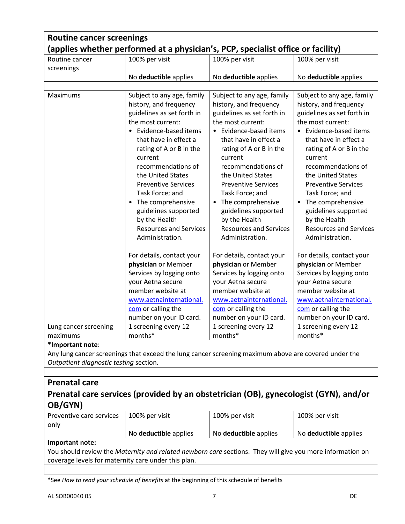| <b>Routine cancer screenings</b><br>(applies whether performed at a physician's, PCP, specialist office or facility) |                                                                                                                                                                                                                                                                                                                                                                                                                             |                                                                                                                                                                                                                                                                                                                                                                                                                  |                                                                                                                                                                                                                                                                                                                                                                                                                |
|----------------------------------------------------------------------------------------------------------------------|-----------------------------------------------------------------------------------------------------------------------------------------------------------------------------------------------------------------------------------------------------------------------------------------------------------------------------------------------------------------------------------------------------------------------------|------------------------------------------------------------------------------------------------------------------------------------------------------------------------------------------------------------------------------------------------------------------------------------------------------------------------------------------------------------------------------------------------------------------|----------------------------------------------------------------------------------------------------------------------------------------------------------------------------------------------------------------------------------------------------------------------------------------------------------------------------------------------------------------------------------------------------------------|
| Routine cancer<br>screenings                                                                                         | 100% per visit                                                                                                                                                                                                                                                                                                                                                                                                              | 100% per visit                                                                                                                                                                                                                                                                                                                                                                                                   | 100% per visit                                                                                                                                                                                                                                                                                                                                                                                                 |
|                                                                                                                      | No deductible applies                                                                                                                                                                                                                                                                                                                                                                                                       | No deductible applies                                                                                                                                                                                                                                                                                                                                                                                            | No deductible applies                                                                                                                                                                                                                                                                                                                                                                                          |
| Maximums                                                                                                             | Subject to any age, family<br>history, and frequency<br>guidelines as set forth in<br>the most current:<br>• Evidence-based items<br>that have in effect a<br>rating of A or B in the<br>current<br>recommendations of<br>the United States<br><b>Preventive Services</b><br>Task Force; and<br>The comprehensive<br>$\bullet$<br>guidelines supported<br>by the Health<br><b>Resources and Services</b><br>Administration. | Subject to any age, family<br>history, and frequency<br>guidelines as set forth in<br>the most current:<br>• Evidence-based items<br>that have in effect a<br>rating of A or B in the<br>current<br>recommendations of<br>the United States<br><b>Preventive Services</b><br>Task Force; and<br>• The comprehensive<br>guidelines supported<br>by the Health<br><b>Resources and Services</b><br>Administration. | Subject to any age, family<br>history, and frequency<br>guidelines as set forth in<br>the most current:<br>• Evidence-based items<br>that have in effect a<br>rating of A or B in the<br>current<br>recommendations of<br>the United States<br><b>Preventive Services</b><br>Task Force; and<br>The comprehensive<br>guidelines supported<br>by the Health<br><b>Resources and Services</b><br>Administration. |
| Lung cancer screening<br>maximums                                                                                    | For details, contact your<br>physician or Member<br>Services by logging onto<br>your Aetna secure<br>member website at<br>www.aetnainternational.<br>com or calling the<br>number on your ID card.<br>1 screening every 12<br>months*                                                                                                                                                                                       | For details, contact your<br>physician or Member<br>Services by logging onto<br>your Aetna secure<br>member website at<br>www.aetnainternational.<br>com or calling the<br>number on your ID card.<br>1 screening every 12<br>months*                                                                                                                                                                            | For details, contact your<br>physician or Member<br>Services by logging onto<br>your Aetna secure<br>member website at<br>www.aetnainternational.<br>com or calling the<br>number on your ID card.<br>1 screening every 12<br>months*                                                                                                                                                                          |
| *Important note:                                                                                                     |                                                                                                                                                                                                                                                                                                                                                                                                                             |                                                                                                                                                                                                                                                                                                                                                                                                                  |                                                                                                                                                                                                                                                                                                                                                                                                                |

Any lung cancer screenings that exceed the lung cancer screening maximum above are covered under the *Outpatient diagnostic testing* section.

### **Prenatal care**

## **Prenatal care services (provided by an obstetrician (OB), gynecologist (GYN), and/or OB/GYN)**

| Preventive care services | 100% per visit               | 100% per visit               | 100% per visit               |
|--------------------------|------------------------------|------------------------------|------------------------------|
| only                     |                              |                              |                              |
|                          | No <b>deductible</b> applies | No <b>deductible</b> applies | No <b>deductible</b> applies |
|                          |                              |                              |                              |

#### **Important note:**

You should review the *Maternity and related newborn care* sections. They will give you more information on coverage levels for maternity care under this plan.

\*See *How to read your schedule of benefits* at the beginning of this schedule of benefits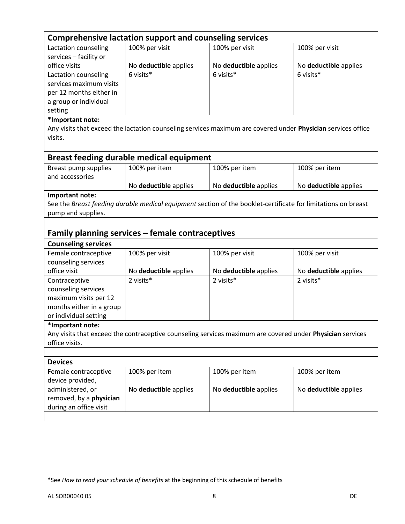|                                                   | <b>Comprehensive lactation support and counseling services</b> |                                                                                                               |                       |
|---------------------------------------------------|----------------------------------------------------------------|---------------------------------------------------------------------------------------------------------------|-----------------------|
| Lactation counseling                              | 100% per visit                                                 | 100% per visit                                                                                                | 100% per visit        |
| services - facility or                            |                                                                |                                                                                                               |                       |
| office visits                                     | No deductible applies                                          | No deductible applies                                                                                         | No deductible applies |
| Lactation counseling                              | 6 visits*                                                      | 6 visits*                                                                                                     | 6 visits*             |
| services maximum visits                           |                                                                |                                                                                                               |                       |
| per 12 months either in                           |                                                                |                                                                                                               |                       |
| a group or individual                             |                                                                |                                                                                                               |                       |
| setting                                           |                                                                |                                                                                                               |                       |
| *Important note:                                  |                                                                |                                                                                                               |                       |
|                                                   |                                                                | Any visits that exceed the lactation counseling services maximum are covered under Physician services office  |                       |
| visits.                                           |                                                                |                                                                                                               |                       |
|                                                   |                                                                |                                                                                                               |                       |
|                                                   | <b>Breast feeding durable medical equipment</b>                |                                                                                                               |                       |
| Breast pump supplies                              | 100% per item                                                  | 100% per item                                                                                                 | 100% per item         |
| and accessories                                   |                                                                |                                                                                                               |                       |
|                                                   | No deductible applies                                          | No deductible applies                                                                                         | No deductible applies |
| Important note:                                   |                                                                |                                                                                                               |                       |
|                                                   |                                                                | See the Breast feeding durable medical equipment section of the booklet-certificate for limitations on breast |                       |
| pump and supplies.                                |                                                                |                                                                                                               |                       |
|                                                   |                                                                |                                                                                                               |                       |
|                                                   | Family planning services - female contraceptives               |                                                                                                               |                       |
| <b>Counseling services</b>                        |                                                                |                                                                                                               |                       |
| Female contraceptive                              |                                                                |                                                                                                               |                       |
|                                                   | 100% per visit                                                 | 100% per visit                                                                                                | 100% per visit        |
| counseling services                               |                                                                |                                                                                                               |                       |
| office visit                                      | No deductible applies                                          | No deductible applies                                                                                         | No deductible applies |
| Contraceptive                                     | 2 visits*                                                      | 2 visits*                                                                                                     | 2 visits*             |
| counseling services                               |                                                                |                                                                                                               |                       |
| maximum visits per 12                             |                                                                |                                                                                                               |                       |
|                                                   |                                                                |                                                                                                               |                       |
| months either in a group<br>or individual setting |                                                                |                                                                                                               |                       |
| *Important note:                                  |                                                                |                                                                                                               |                       |
|                                                   |                                                                | Any visits that exceed the contraceptive counseling services maximum are covered under Physician services     |                       |
| office visits.                                    |                                                                |                                                                                                               |                       |
|                                                   |                                                                |                                                                                                               |                       |
| <b>Devices</b>                                    |                                                                |                                                                                                               |                       |
| Female contraceptive                              | 100% per item                                                  | 100% per item                                                                                                 | 100% per item         |
| device provided,                                  |                                                                |                                                                                                               |                       |
| administered, or                                  | No deductible applies                                          | No deductible applies                                                                                         | No deductible applies |
| removed, by a physician                           |                                                                |                                                                                                               |                       |
| during an office visit                            |                                                                |                                                                                                               |                       |

<sup>\*</sup>See *How to read your schedule of benefits* at the beginning of this schedule of benefits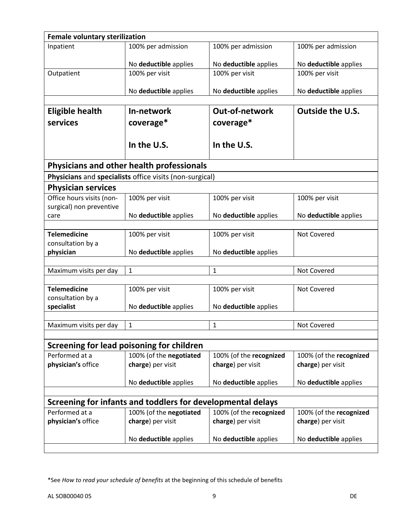| <b>Female voluntary sterilization</b> |                                                             |                                              |                                              |
|---------------------------------------|-------------------------------------------------------------|----------------------------------------------|----------------------------------------------|
| Inpatient                             | 100% per admission                                          | 100% per admission                           | 100% per admission                           |
|                                       |                                                             |                                              |                                              |
|                                       | No deductible applies                                       | No deductible applies                        | No deductible applies                        |
| Outpatient                            | 100% per visit                                              | 100% per visit                               | 100% per visit                               |
|                                       |                                                             |                                              |                                              |
|                                       | No deductible applies                                       | No deductible applies                        | No deductible applies                        |
| <b>Eligible health</b>                | In-network                                                  | Out-of-network                               | Outside the U.S.                             |
| services                              |                                                             |                                              |                                              |
|                                       | coverage*                                                   | coverage*                                    |                                              |
|                                       |                                                             |                                              |                                              |
|                                       | In the U.S.                                                 | In the U.S.                                  |                                              |
|                                       | Physicians and other health professionals                   |                                              |                                              |
|                                       | Physicians and specialists office visits (non-surgical)     |                                              |                                              |
| <b>Physician services</b>             |                                                             |                                              |                                              |
| Office hours visits (non-             | 100% per visit                                              | 100% per visit                               | 100% per visit                               |
| surgical) non preventive              |                                                             |                                              |                                              |
| care                                  | No deductible applies                                       | No deductible applies                        | No deductible applies                        |
| <b>Telemedicine</b>                   | 100% per visit                                              | 100% per visit                               | Not Covered                                  |
| consultation by a                     |                                                             |                                              |                                              |
| physician                             | No deductible applies                                       | No deductible applies                        |                                              |
|                                       |                                                             |                                              |                                              |
| Maximum visits per day                | $\mathbf{1}$                                                | $\mathbf{1}$                                 | Not Covered                                  |
|                                       |                                                             |                                              |                                              |
| <b>Telemedicine</b>                   | 100% per visit                                              | 100% per visit                               | Not Covered                                  |
| consultation by a                     |                                                             |                                              |                                              |
| specialist                            | No deductible applies                                       | No deductible applies                        |                                              |
| Maximum visits per day                | $\mathbf{1}$                                                | $\mathbf{1}$                                 | Not Covered                                  |
|                                       |                                                             |                                              |                                              |
|                                       | Screening for lead poisoning for children                   |                                              |                                              |
| Performed at a                        | 100% (of the negotiated                                     | 100% (of the recognized                      | 100% (of the recognized                      |
| physician's office                    | charge) per visit                                           | charge) per visit                            | charge) per visit                            |
|                                       |                                                             |                                              |                                              |
|                                       | No deductible applies                                       | No deductible applies                        | No deductible applies                        |
|                                       |                                                             |                                              |                                              |
|                                       | Screening for infants and toddlers for developmental delays |                                              |                                              |
| Performed at a<br>physician's office  | 100% (of the negotiated<br>charge) per visit                | 100% (of the recognized<br>charge) per visit | 100% (of the recognized<br>charge) per visit |
|                                       |                                                             |                                              |                                              |
|                                       | No deductible applies                                       | No deductible applies                        | No deductible applies                        |
|                                       |                                                             |                                              |                                              |

<sup>\*</sup>See *How to read your schedule of benefits* at the beginning of this schedule of benefits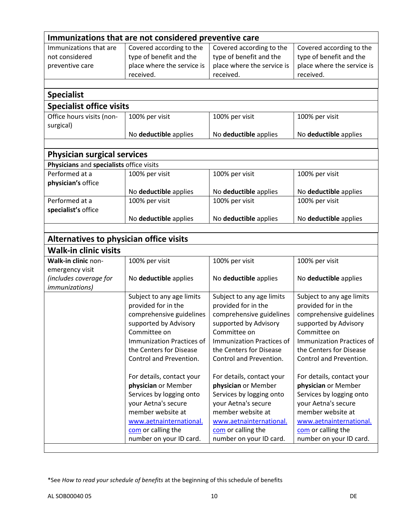|                                          | Immunizations that are not considered preventive care |                            |                            |
|------------------------------------------|-------------------------------------------------------|----------------------------|----------------------------|
| Immunizations that are                   | Covered according to the                              | Covered according to the   | Covered according to the   |
| not considered                           | type of benefit and the                               | type of benefit and the    | type of benefit and the    |
| preventive care                          | place where the service is                            | place where the service is | place where the service is |
|                                          | received.                                             | received.                  | received.                  |
|                                          |                                                       |                            |                            |
| <b>Specialist</b>                        |                                                       |                            |                            |
| <b>Specialist office visits</b>          |                                                       |                            |                            |
| Office hours visits (non-                | 100% per visit                                        | 100% per visit             | 100% per visit             |
| surgical)                                |                                                       |                            |                            |
|                                          | No deductible applies                                 | No deductible applies      | No deductible applies      |
|                                          |                                                       |                            |                            |
| <b>Physician surgical services</b>       |                                                       |                            |                            |
| Physicians and specialists office visits |                                                       |                            |                            |
| Performed at a                           | 100% per visit                                        | 100% per visit             | 100% per visit             |
| physician's office                       |                                                       |                            |                            |
|                                          | No deductible applies                                 | No deductible applies      | No deductible applies      |
| Performed at a                           | 100% per visit                                        | 100% per visit             | 100% per visit             |
| specialist's office                      |                                                       |                            |                            |
|                                          | No deductible applies                                 | No deductible applies      | No deductible applies      |
|                                          |                                                       |                            |                            |
| Alternatives to physician office visits  |                                                       |                            |                            |
| <b>Walk-in clinic visits</b>             |                                                       |                            |                            |
| Walk-in clinic non-                      | 100% per visit                                        | 100% per visit             | 100% per visit             |
| emergency visit                          |                                                       |                            |                            |
| (includes coverage for                   | No deductible applies                                 | No deductible applies      | No deductible applies      |
| <i>immunizations)</i>                    |                                                       |                            |                            |
|                                          | Subject to any age limits                             | Subject to any age limits  | Subject to any age limits  |
|                                          | provided for in the                                   | provided for in the        | provided for in the        |
|                                          | comprehensive guidelines                              | comprehensive guidelines   | comprehensive guidelines   |
|                                          | supported by Advisory                                 | supported by Advisory      | supported by Advisory      |
|                                          | Committee on                                          | Committee on               | Committee on               |
|                                          | Immunization Practices of                             | Immunization Practices of  | Immunization Practices of  |
|                                          | the Centers for Disease                               | the Centers for Disease    | the Centers for Disease    |
|                                          | Control and Prevention.                               | Control and Prevention.    | Control and Prevention.    |
|                                          | For details, contact your                             | For details, contact your  | For details, contact your  |
|                                          | physician or Member                                   | physician or Member        | physician or Member        |
|                                          | Services by logging onto                              | Services by logging onto   | Services by logging onto   |
|                                          | your Aetna's secure                                   | your Aetna's secure        | your Aetna's secure        |
|                                          | member website at                                     | member website at          | member website at          |
|                                          | www.aetnainternational.                               | www.aetnainternational.    | www.aetnainternational.    |
|                                          | com or calling the                                    | com or calling the         | com or calling the         |
|                                          | number on your ID card.                               | number on your ID card.    | number on your ID card.    |
|                                          |                                                       |                            |                            |

<sup>\*</sup>See *How to read your schedule of benefits* at the beginning of this schedule of benefits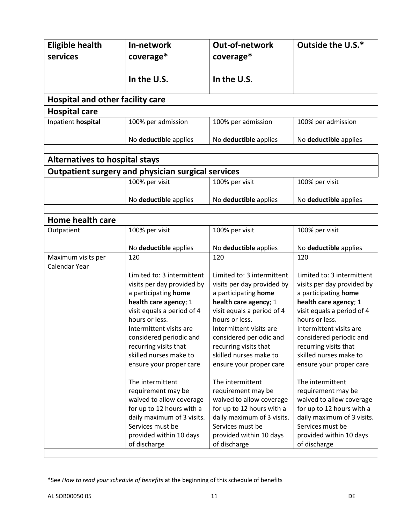| <b>Eligible health</b><br>services      | In-network<br>coverage*                                   | Out-of-network<br>coverage*                         | Outside the U.S.*                                   |
|-----------------------------------------|-----------------------------------------------------------|-----------------------------------------------------|-----------------------------------------------------|
|                                         | In the U.S.                                               | In the U.S.                                         |                                                     |
| <b>Hospital and other facility care</b> |                                                           |                                                     |                                                     |
| <b>Hospital care</b>                    |                                                           |                                                     |                                                     |
| Inpatient hospital                      | 100% per admission                                        | 100% per admission                                  | 100% per admission                                  |
|                                         | No deductible applies                                     | No deductible applies                               | No deductible applies                               |
|                                         |                                                           |                                                     |                                                     |
| <b>Alternatives to hospital stays</b>   |                                                           |                                                     |                                                     |
|                                         | <b>Outpatient surgery and physician surgical services</b> |                                                     |                                                     |
|                                         | 100% per visit                                            | 100% per visit                                      | 100% per visit                                      |
|                                         | No deductible applies                                     | No deductible applies                               | No deductible applies                               |
|                                         |                                                           |                                                     |                                                     |
| <b>Home health care</b>                 |                                                           |                                                     |                                                     |
| Outpatient                              | 100% per visit                                            | 100% per visit                                      | 100% per visit                                      |
|                                         | No deductible applies                                     | No deductible applies                               | No deductible applies                               |
| Maximum visits per<br>Calendar Year     | 120                                                       | 120                                                 | 120                                                 |
|                                         | Limited to: 3 intermittent                                | Limited to: 3 intermittent                          | Limited to: 3 intermittent                          |
|                                         | visits per day provided by                                | visits per day provided by                          | visits per day provided by                          |
|                                         | a participating home                                      | a participating home                                | a participating home                                |
|                                         | health care agency; 1<br>visit equals a period of 4       | health care agency; 1<br>visit equals a period of 4 | health care agency; 1<br>visit equals a period of 4 |
|                                         | hours or less.                                            | hours or less.                                      | hours or less.                                      |
|                                         | Intermittent visits are                                   | Intermittent visits are                             | Intermittent visits are                             |
|                                         | considered periodic and                                   | considered periodic and                             | considered periodic and                             |
|                                         | recurring visits that                                     | recurring visits that                               | recurring visits that                               |
|                                         | skilled nurses make to                                    | skilled nurses make to                              | skilled nurses make to                              |
|                                         | ensure your proper care                                   | ensure your proper care                             | ensure your proper care                             |
|                                         | The intermittent                                          | The intermittent                                    | The intermittent                                    |
|                                         | requirement may be                                        | requirement may be                                  | requirement may be                                  |
|                                         | waived to allow coverage                                  | waived to allow coverage                            | waived to allow coverage                            |
|                                         | for up to 12 hours with a                                 | for up to 12 hours with a                           | for up to 12 hours with a                           |
|                                         | daily maximum of 3 visits.                                | daily maximum of 3 visits.                          | daily maximum of 3 visits.                          |
|                                         | Services must be                                          | Services must be                                    | Services must be                                    |
|                                         | provided within 10 days                                   | provided within 10 days                             | provided within 10 days                             |
|                                         | of discharge                                              | of discharge                                        | of discharge                                        |

<sup>\*</sup>See *How to read your schedule of benefits* at the beginning of this schedule of benefits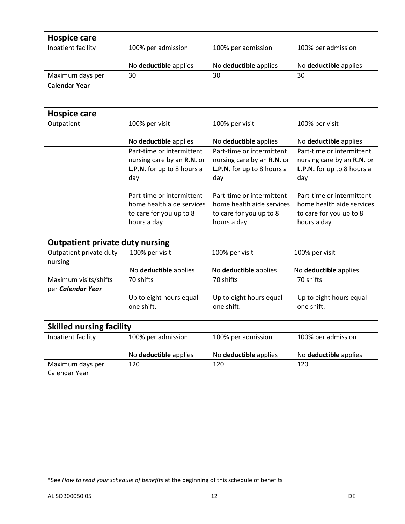| <b>Hospice care</b>                        |                            |                            |                            |
|--------------------------------------------|----------------------------|----------------------------|----------------------------|
| Inpatient facility                         | 100% per admission         | 100% per admission         | 100% per admission         |
|                                            | No deductible applies      | No deductible applies      | No deductible applies      |
| Maximum days per                           | 30                         | 30                         | 30                         |
| <b>Calendar Year</b>                       |                            |                            |                            |
|                                            |                            |                            |                            |
| <b>Hospice care</b>                        |                            |                            |                            |
| Outpatient                                 | 100% per visit             | 100% per visit             | 100% per visit             |
|                                            | No deductible applies      | No deductible applies      | No deductible applies      |
|                                            | Part-time or intermittent  | Part-time or intermittent  | Part-time or intermittent  |
|                                            | nursing care by an R.N. or | nursing care by an R.N. or | nursing care by an R.N. or |
|                                            | L.P.N. for up to 8 hours a | L.P.N. for up to 8 hours a | L.P.N. for up to 8 hours a |
|                                            | day                        | day                        | day                        |
|                                            | Part-time or intermittent  | Part-time or intermittent  | Part-time or intermittent  |
|                                            | home health aide services  | home health aide services  | home health aide services  |
|                                            | to care for you up to 8    | to care for you up to 8    | to care for you up to 8    |
|                                            | hours a day                | hours a day                | hours a day                |
|                                            |                            |                            |                            |
| <b>Outpatient private duty nursing</b>     |                            |                            |                            |
| Outpatient private duty<br>nursing         | 100% per visit             | 100% per visit             | 100% per visit             |
|                                            | No deductible applies      | No deductible applies      | No deductible applies      |
| Maximum visits/shifts<br>per Calendar Year | 70 shifts                  | 70 shifts                  | 70 shifts                  |
|                                            | Up to eight hours equal    | Up to eight hours equal    | Up to eight hours equal    |
|                                            | one shift.                 | one shift.                 | one shift.                 |
|                                            |                            |                            |                            |
| <b>Skilled nursing facility</b>            |                            |                            |                            |
| Inpatient facility                         | 100% per admission         | 100% per admission         | 100% per admission         |
|                                            | No deductible applies      | No deductible applies      | No deductible applies      |
| Maximum days per<br>Calendar Year          | 120                        | 120                        | 120                        |
|                                            |                            |                            |                            |

<sup>\*</sup>See *How to read your schedule of benefits* at the beginning of this schedule of benefits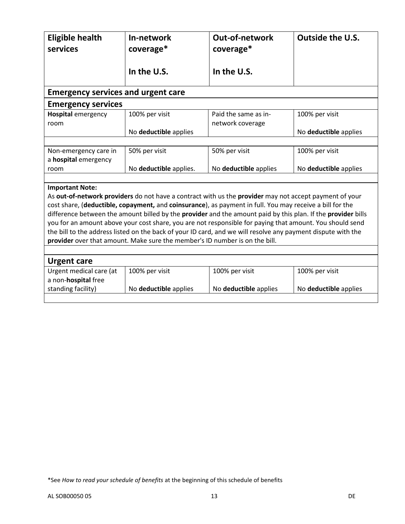| <b>Eligible health</b><br>services        | In-network<br>coverage*                                                     | <b>Out-of-network</b><br>coverage*                                                                           | <b>Outside the U.S.</b> |
|-------------------------------------------|-----------------------------------------------------------------------------|--------------------------------------------------------------------------------------------------------------|-------------------------|
|                                           | In the U.S.                                                                 | In the U.S.                                                                                                  |                         |
| <b>Emergency services and urgent care</b> |                                                                             |                                                                                                              |                         |
| <b>Emergency services</b>                 |                                                                             |                                                                                                              |                         |
| <b>Hospital emergency</b><br>room         | 100% per visit                                                              | Paid the same as in-<br>network coverage                                                                     | 100% per visit          |
|                                           | No deductible applies                                                       |                                                                                                              | No deductible applies   |
|                                           |                                                                             |                                                                                                              |                         |
| Non-emergency care in                     | 50% per visit                                                               | 50% per visit                                                                                                | 100% per visit          |
| a hospital emergency                      |                                                                             |                                                                                                              |                         |
| room                                      | No deductible applies.                                                      | No deductible applies                                                                                        | No deductible applies   |
|                                           |                                                                             |                                                                                                              |                         |
| <b>Important Note:</b>                    |                                                                             |                                                                                                              |                         |
|                                           |                                                                             | As out-of-network providers do not have a contract with us the provider may not accept payment of your       |                         |
|                                           |                                                                             | cost share, (deductible, copayment, and coinsurance), as payment in full. You may receive a bill for the     |                         |
|                                           |                                                                             | difference between the amount billed by the provider and the amount paid by this plan. If the provider bills |                         |
|                                           |                                                                             | you for an amount above your cost share, you are not responsible for paying that amount. You should send     |                         |
|                                           | provider over that amount. Make sure the member's ID number is on the bill. | the bill to the address listed on the back of your ID card, and we will resolve any payment dispute with the |                         |
|                                           |                                                                             |                                                                                                              |                         |
| <b>Urgent care</b>                        |                                                                             |                                                                                                              |                         |
| Urgent medical care (at                   | 100% per visit                                                              | 100% per visit                                                                                               | 100% per visit          |
| a non-hospital free                       |                                                                             |                                                                                                              |                         |
| standing facility)                        | No deductible applies                                                       | No deductible applies                                                                                        | No deductible applies   |
|                                           |                                                                             |                                                                                                              |                         |

<sup>\*</sup>See *How to read your schedule of benefits* at the beginning of this schedule of benefits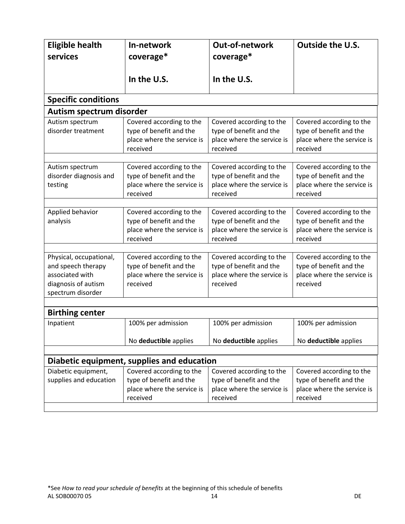| <b>Eligible health</b><br>services                                                                           | In-network<br>coverage*                                                                       | <b>Out-of-network</b><br>coverage*                                                            | <b>Outside the U.S.</b>                                                                       |  |  |
|--------------------------------------------------------------------------------------------------------------|-----------------------------------------------------------------------------------------------|-----------------------------------------------------------------------------------------------|-----------------------------------------------------------------------------------------------|--|--|
|                                                                                                              | In the U.S.                                                                                   | In the U.S.                                                                                   |                                                                                               |  |  |
| <b>Specific conditions</b>                                                                                   |                                                                                               |                                                                                               |                                                                                               |  |  |
| Autism spectrum disorder                                                                                     |                                                                                               |                                                                                               |                                                                                               |  |  |
| Autism spectrum<br>disorder treatment                                                                        | Covered according to the<br>type of benefit and the<br>place where the service is<br>received | Covered according to the<br>type of benefit and the<br>place where the service is<br>received | Covered according to the<br>type of benefit and the<br>place where the service is<br>received |  |  |
| Autism spectrum<br>disorder diagnosis and<br>testing                                                         | Covered according to the<br>type of benefit and the<br>place where the service is<br>received | Covered according to the<br>type of benefit and the<br>place where the service is<br>received | Covered according to the<br>type of benefit and the<br>place where the service is<br>received |  |  |
| Applied behavior<br>analysis                                                                                 | Covered according to the<br>type of benefit and the<br>place where the service is<br>received | Covered according to the<br>type of benefit and the<br>place where the service is<br>received | Covered according to the<br>type of benefit and the<br>place where the service is<br>received |  |  |
| Physical, occupational,<br>and speech therapy<br>associated with<br>diagnosis of autism<br>spectrum disorder | Covered according to the<br>type of benefit and the<br>place where the service is<br>received | Covered according to the<br>type of benefit and the<br>place where the service is<br>received | Covered according to the<br>type of benefit and the<br>place where the service is<br>received |  |  |
| <b>Birthing center</b>                                                                                       |                                                                                               |                                                                                               |                                                                                               |  |  |
| Inpatient                                                                                                    | 100% per admission                                                                            | 100% per admission                                                                            | 100% per admission                                                                            |  |  |
|                                                                                                              | No deductible applies                                                                         | No deductible applies                                                                         | No deductible applies                                                                         |  |  |
| Diabetic equipment, supplies and education                                                                   |                                                                                               |                                                                                               |                                                                                               |  |  |
| Diabetic equipment,<br>supplies and education                                                                | Covered according to the<br>type of benefit and the<br>place where the service is<br>received | Covered according to the<br>type of benefit and the<br>place where the service is<br>received | Covered according to the<br>type of benefit and the<br>place where the service is<br>received |  |  |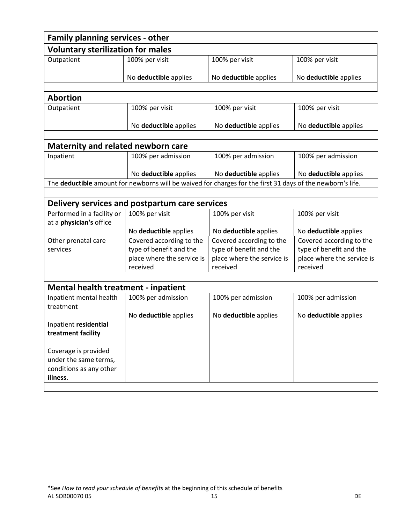|                                            | Family planning services - other                                                                           |                                                     |                                                     |  |  |
|--------------------------------------------|------------------------------------------------------------------------------------------------------------|-----------------------------------------------------|-----------------------------------------------------|--|--|
| <b>Voluntary sterilization for males</b>   |                                                                                                            |                                                     |                                                     |  |  |
| Outpatient                                 | 100% per visit                                                                                             | 100% per visit                                      | 100% per visit                                      |  |  |
|                                            |                                                                                                            |                                                     |                                                     |  |  |
|                                            | No deductible applies                                                                                      | No deductible applies                               | No deductible applies                               |  |  |
| <b>Abortion</b>                            |                                                                                                            |                                                     |                                                     |  |  |
| Outpatient                                 | 100% per visit                                                                                             | 100% per visit                                      | 100% per visit                                      |  |  |
|                                            |                                                                                                            |                                                     |                                                     |  |  |
|                                            | No deductible applies                                                                                      | No deductible applies                               | No deductible applies                               |  |  |
|                                            |                                                                                                            |                                                     |                                                     |  |  |
| <b>Maternity and related newborn care</b>  |                                                                                                            |                                                     |                                                     |  |  |
| Inpatient                                  | 100% per admission                                                                                         | 100% per admission                                  | 100% per admission                                  |  |  |
|                                            | No deductible applies                                                                                      | No deductible applies                               | No deductible applies                               |  |  |
|                                            | The deductible amount for newborns will be waived for charges for the first 31 days of the newborn's life. |                                                     |                                                     |  |  |
|                                            |                                                                                                            |                                                     |                                                     |  |  |
|                                            | Delivery services and postpartum care services                                                             |                                                     |                                                     |  |  |
| Performed in a facility or                 | 100% per visit                                                                                             | 100% per visit                                      | 100% per visit                                      |  |  |
| at a physician's office                    |                                                                                                            |                                                     |                                                     |  |  |
|                                            | No deductible applies                                                                                      | No deductible applies                               | No deductible applies                               |  |  |
| Other prenatal care<br>services            | Covered according to the<br>type of benefit and the                                                        | Covered according to the<br>type of benefit and the | Covered according to the<br>type of benefit and the |  |  |
|                                            | place where the service is                                                                                 | place where the service is                          | place where the service is                          |  |  |
|                                            | received                                                                                                   | received                                            | received                                            |  |  |
|                                            |                                                                                                            |                                                     |                                                     |  |  |
| <b>Mental health treatment - inpatient</b> |                                                                                                            |                                                     |                                                     |  |  |
| Inpatient mental health                    | 100% per admission                                                                                         | 100% per admission                                  | 100% per admission                                  |  |  |
| treatment                                  |                                                                                                            |                                                     |                                                     |  |  |
|                                            | No deductible applies                                                                                      | No deductible applies                               | No deductible applies                               |  |  |
| Inpatient residential                      |                                                                                                            |                                                     |                                                     |  |  |
| treatment facility                         |                                                                                                            |                                                     |                                                     |  |  |
| Coverage is provided                       |                                                                                                            |                                                     |                                                     |  |  |
| under the same terms,                      |                                                                                                            |                                                     |                                                     |  |  |
| conditions as any other                    |                                                                                                            |                                                     |                                                     |  |  |
| illness.                                   |                                                                                                            |                                                     |                                                     |  |  |
|                                            |                                                                                                            |                                                     |                                                     |  |  |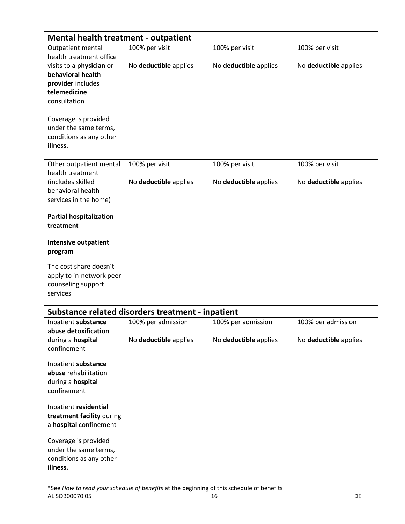| <b>Mental health treatment - outpatient</b>         |                                                   |                       |                       |
|-----------------------------------------------------|---------------------------------------------------|-----------------------|-----------------------|
| Outpatient mental<br>health treatment office        | 100% per visit                                    | 100% per visit        | 100% per visit        |
| visits to a <b>physician</b> or                     | No deductible applies                             | No deductible applies | No deductible applies |
| behavioral health<br>provider includes              |                                                   |                       |                       |
| telemedicine                                        |                                                   |                       |                       |
| consultation                                        |                                                   |                       |                       |
| Coverage is provided                                |                                                   |                       |                       |
| under the same terms,                               |                                                   |                       |                       |
| conditions as any other<br>illness.                 |                                                   |                       |                       |
|                                                     |                                                   |                       |                       |
| Other outpatient mental<br>health treatment         | 100% per visit                                    | 100% per visit        | 100% per visit        |
| (includes skilled                                   | No deductible applies                             | No deductible applies | No deductible applies |
| behavioral health                                   |                                                   |                       |                       |
| services in the home)                               |                                                   |                       |                       |
| <b>Partial hospitalization</b>                      |                                                   |                       |                       |
| treatment                                           |                                                   |                       |                       |
| <b>Intensive outpatient</b>                         |                                                   |                       |                       |
| program                                             |                                                   |                       |                       |
| The cost share doesn't                              |                                                   |                       |                       |
| apply to in-network peer                            |                                                   |                       |                       |
| counseling support<br>services                      |                                                   |                       |                       |
|                                                     |                                                   |                       |                       |
|                                                     | Substance related disorders treatment - inpatient |                       |                       |
| Inpatient substance<br>abuse detoxification         | 100% per admission                                | 100% per admission    | 100% per admission    |
| during a hospital                                   | No deductible applies                             | No deductible applies | No deductible applies |
| confinement                                         |                                                   |                       |                       |
| Inpatient substance                                 |                                                   |                       |                       |
| abuse rehabilitation                                |                                                   |                       |                       |
| during a hospital<br>confinement                    |                                                   |                       |                       |
|                                                     |                                                   |                       |                       |
| Inpatient residential                               |                                                   |                       |                       |
| treatment facility during<br>a hospital confinement |                                                   |                       |                       |
|                                                     |                                                   |                       |                       |
| Coverage is provided<br>under the same terms,       |                                                   |                       |                       |
| conditions as any other                             |                                                   |                       |                       |
| illness.                                            |                                                   |                       |                       |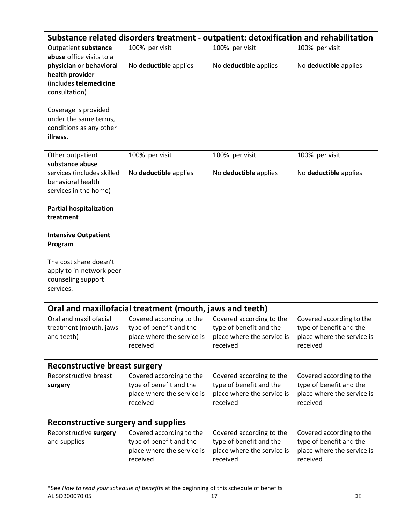|                                                 | Substance related disorders treatment - outpatient: detoxification and rehabilitation |                            |                            |  |  |
|-------------------------------------------------|---------------------------------------------------------------------------------------|----------------------------|----------------------------|--|--|
| Outpatient substance                            | 100% per visit                                                                        | 100% per visit             | 100% per visit             |  |  |
| abuse office visits to a                        |                                                                                       |                            |                            |  |  |
| physician or behavioral                         | No deductible applies                                                                 | No deductible applies      | No deductible applies      |  |  |
| health provider                                 |                                                                                       |                            |                            |  |  |
| (includes telemedicine                          |                                                                                       |                            |                            |  |  |
| consultation)                                   |                                                                                       |                            |                            |  |  |
| Coverage is provided                            |                                                                                       |                            |                            |  |  |
| under the same terms,                           |                                                                                       |                            |                            |  |  |
| conditions as any other                         |                                                                                       |                            |                            |  |  |
| illness.                                        |                                                                                       |                            |                            |  |  |
|                                                 |                                                                                       |                            |                            |  |  |
| Other outpatient                                | 100% per visit                                                                        | 100% per visit             | 100% per visit             |  |  |
| substance abuse                                 |                                                                                       |                            |                            |  |  |
| services (includes skilled<br>behavioral health | No deductible applies                                                                 | No deductible applies      | No deductible applies      |  |  |
|                                                 |                                                                                       |                            |                            |  |  |
| services in the home)                           |                                                                                       |                            |                            |  |  |
| <b>Partial hospitalization</b>                  |                                                                                       |                            |                            |  |  |
| treatment                                       |                                                                                       |                            |                            |  |  |
|                                                 |                                                                                       |                            |                            |  |  |
| <b>Intensive Outpatient</b>                     |                                                                                       |                            |                            |  |  |
| Program                                         |                                                                                       |                            |                            |  |  |
|                                                 |                                                                                       |                            |                            |  |  |
| The cost share doesn't                          |                                                                                       |                            |                            |  |  |
| apply to in-network peer                        |                                                                                       |                            |                            |  |  |
| counseling support                              |                                                                                       |                            |                            |  |  |
| services.                                       |                                                                                       |                            |                            |  |  |
|                                                 |                                                                                       |                            |                            |  |  |
|                                                 | Oral and maxillofacial treatment (mouth, jaws and teeth)                              |                            |                            |  |  |
| Oral and maxillofacial                          | Covered according to the                                                              | Covered according to the   | Covered according to the   |  |  |
| treatment (mouth, jaws                          | type of benefit and the                                                               | type of benefit and the    | type of benefit and the    |  |  |
| and teeth)                                      | place where the service is                                                            | place where the service is | place where the service is |  |  |
|                                                 | received                                                                              | received                   | received                   |  |  |
|                                                 |                                                                                       |                            |                            |  |  |
| <b>Reconstructive breast surgery</b>            |                                                                                       |                            |                            |  |  |
| Reconstructive breast                           | Covered according to the                                                              | Covered according to the   | Covered according to the   |  |  |
| surgery                                         | type of benefit and the                                                               | type of benefit and the    | type of benefit and the    |  |  |
|                                                 | place where the service is                                                            | place where the service is | place where the service is |  |  |
|                                                 | received                                                                              | received                   | received                   |  |  |
| Reconstructive surgery and supplies             |                                                                                       |                            |                            |  |  |
| Reconstructive surgery                          | Covered according to the                                                              | Covered according to the   | Covered according to the   |  |  |
| and supplies                                    | type of benefit and the                                                               | type of benefit and the    | type of benefit and the    |  |  |
|                                                 | place where the service is                                                            | place where the service is | place where the service is |  |  |
|                                                 | received                                                                              | received                   | received                   |  |  |
|                                                 |                                                                                       |                            |                            |  |  |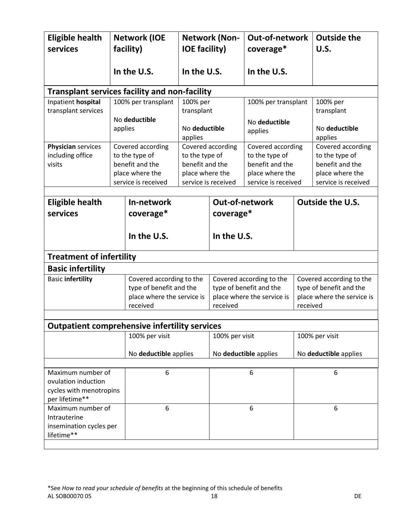| <b>Eligible health</b><br>services                                                    |         | <b>Network (IOE</b><br>facility)                                                                 | <b>IOE facility)</b>                                                        | <b>Network (Non-</b> | Out-of-network<br>coverage*                                                                      |          | <b>Outside the</b><br>U.S.                                                                       |
|---------------------------------------------------------------------------------------|---------|--------------------------------------------------------------------------------------------------|-----------------------------------------------------------------------------|----------------------|--------------------------------------------------------------------------------------------------|----------|--------------------------------------------------------------------------------------------------|
|                                                                                       |         | In the U.S.                                                                                      | In the U.S.                                                                 |                      | In the U.S.                                                                                      |          |                                                                                                  |
| <b>Transplant services facility and non-facility</b>                                  |         |                                                                                                  |                                                                             |                      |                                                                                                  |          |                                                                                                  |
| Inpatient hospital<br>transplant services                                             | applies | 100% per transplant<br>No deductible                                                             | 100% per<br>transplant<br>No deductible                                     |                      | 100% per transplant<br>No deductible                                                             |          | 100% per<br>transplant<br>No deductible                                                          |
|                                                                                       |         |                                                                                                  | applies                                                                     |                      | applies                                                                                          |          | applies                                                                                          |
| Physician services<br>including office<br>visits                                      |         | Covered according<br>to the type of<br>benefit and the<br>place where the<br>service is received | to the type of<br>benefit and the<br>place where the<br>service is received | Covered according    | Covered according<br>to the type of<br>benefit and the<br>place where the<br>service is received |          | Covered according<br>to the type of<br>benefit and the<br>place where the<br>service is received |
| <b>Eligible health</b>                                                                |         | In-network                                                                                       |                                                                             | Out-of-network       |                                                                                                  |          | Outside the U.S.                                                                                 |
| services                                                                              |         | coverage*                                                                                        |                                                                             | coverage*            |                                                                                                  |          |                                                                                                  |
|                                                                                       |         | In the U.S.                                                                                      |                                                                             | In the U.S.          |                                                                                                  |          |                                                                                                  |
| <b>Treatment of infertility</b>                                                       |         |                                                                                                  |                                                                             |                      |                                                                                                  |          |                                                                                                  |
| <b>Basic infertility</b>                                                              |         |                                                                                                  |                                                                             |                      |                                                                                                  |          |                                                                                                  |
| <b>Basic infertility</b>                                                              |         | Covered according to the<br>type of benefit and the<br>place where the service is<br>received    |                                                                             | received             | Covered according to the<br>type of benefit and the<br>place where the service is                | received | Covered according to the<br>type of benefit and the<br>place where the service is                |
|                                                                                       |         |                                                                                                  |                                                                             |                      |                                                                                                  |          |                                                                                                  |
| <b>Outpatient comprehensive infertility services</b>                                  |         | 100% per visit                                                                                   |                                                                             |                      |                                                                                                  |          | 100% per visit                                                                                   |
|                                                                                       |         | No deductible applies                                                                            |                                                                             | 100% per visit       | No deductible applies                                                                            |          | No deductible applies                                                                            |
|                                                                                       |         |                                                                                                  |                                                                             |                      |                                                                                                  |          |                                                                                                  |
| Maximum number of<br>ovulation induction<br>cycles with menotropins<br>per lifetime** |         | 6                                                                                                |                                                                             |                      | 6                                                                                                |          | 6                                                                                                |
| Maximum number of<br>Intrauterine<br>insemination cycles per<br>lifetime**            |         | 6                                                                                                |                                                                             |                      | 6                                                                                                |          | $\boldsymbol{6}$                                                                                 |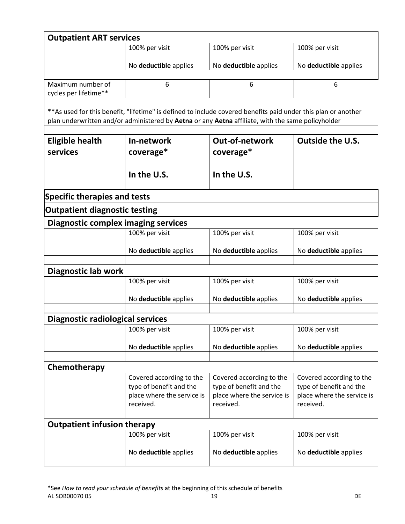| <b>Outpatient ART services</b>             |                            |                                                                                                                |                            |  |  |
|--------------------------------------------|----------------------------|----------------------------------------------------------------------------------------------------------------|----------------------------|--|--|
|                                            | 100% per visit             | 100% per visit                                                                                                 | 100% per visit             |  |  |
|                                            | No deductible applies      | No deductible applies                                                                                          | No deductible applies      |  |  |
|                                            |                            |                                                                                                                |                            |  |  |
| Maximum number of                          | 6                          | 6                                                                                                              | 6                          |  |  |
| cycles per lifetime**                      |                            |                                                                                                                |                            |  |  |
|                                            |                            | ** As used for this benefit, "lifetime" is defined to include covered benefits paid under this plan or another |                            |  |  |
|                                            |                            | plan underwritten and/or administered by Aetna or any Aetna affiliate, with the same policyholder              |                            |  |  |
|                                            |                            |                                                                                                                |                            |  |  |
| <b>Eligible health</b>                     | In-network                 | <b>Out-of-network</b>                                                                                          | <b>Outside the U.S.</b>    |  |  |
| services                                   | coverage*                  | coverage*                                                                                                      |                            |  |  |
|                                            |                            |                                                                                                                |                            |  |  |
|                                            | In the U.S.                | In the U.S.                                                                                                    |                            |  |  |
|                                            |                            |                                                                                                                |                            |  |  |
| <b>Specific therapies and tests</b>        |                            |                                                                                                                |                            |  |  |
| <b>Outpatient diagnostic testing</b>       |                            |                                                                                                                |                            |  |  |
| <b>Diagnostic complex imaging services</b> |                            |                                                                                                                |                            |  |  |
|                                            | 100% per visit             | 100% per visit                                                                                                 | 100% per visit             |  |  |
|                                            |                            |                                                                                                                |                            |  |  |
|                                            | No deductible applies      | No deductible applies                                                                                          | No deductible applies      |  |  |
| Diagnostic lab work                        |                            |                                                                                                                |                            |  |  |
|                                            | 100% per visit             | 100% per visit                                                                                                 | 100% per visit             |  |  |
|                                            |                            |                                                                                                                |                            |  |  |
|                                            | No deductible applies      | No deductible applies                                                                                          | No deductible applies      |  |  |
|                                            |                            |                                                                                                                |                            |  |  |
| <b>Diagnostic radiological services</b>    |                            |                                                                                                                |                            |  |  |
|                                            | 100% per visit             | 100% per visit                                                                                                 | 100% per visit             |  |  |
|                                            | No deductible applies      | No deductible applies                                                                                          | No deductible applies      |  |  |
|                                            |                            |                                                                                                                |                            |  |  |
| Chemotherapy                               |                            |                                                                                                                |                            |  |  |
|                                            | Covered according to the   | Covered according to the                                                                                       | Covered according to the   |  |  |
|                                            | type of benefit and the    | type of benefit and the                                                                                        | type of benefit and the    |  |  |
|                                            | place where the service is | place where the service is                                                                                     | place where the service is |  |  |
|                                            | received.                  | received.                                                                                                      | received.                  |  |  |
|                                            |                            |                                                                                                                |                            |  |  |
| <b>Outpatient infusion therapy</b>         |                            |                                                                                                                |                            |  |  |
|                                            | 100% per visit             | 100% per visit                                                                                                 | 100% per visit             |  |  |
|                                            | No deductible applies      | No deductible applies                                                                                          | No deductible applies      |  |  |
|                                            |                            |                                                                                                                |                            |  |  |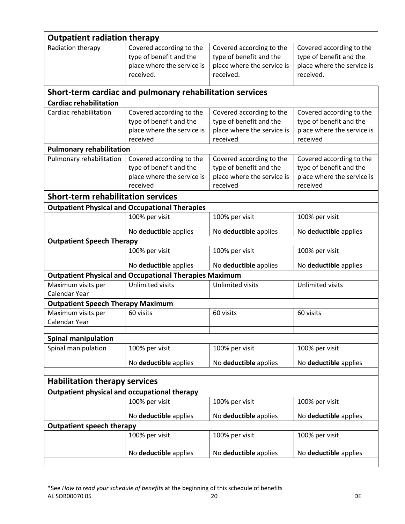| <b>Outpatient radiation therapy</b>          |                                                                                                |                                                                                                |                                                                                                |  |  |
|----------------------------------------------|------------------------------------------------------------------------------------------------|------------------------------------------------------------------------------------------------|------------------------------------------------------------------------------------------------|--|--|
| Radiation therapy                            | Covered according to the<br>type of benefit and the<br>place where the service is<br>received. | Covered according to the<br>type of benefit and the<br>place where the service is<br>received. | Covered according to the<br>type of benefit and the<br>place where the service is<br>received. |  |  |
|                                              |                                                                                                |                                                                                                |                                                                                                |  |  |
| <b>Cardiac rehabilitation</b>                | Short-term cardiac and pulmonary rehabilitation services                                       |                                                                                                |                                                                                                |  |  |
| Cardiac rehabilitation                       | Covered according to the                                                                       | Covered according to the                                                                       | Covered according to the                                                                       |  |  |
|                                              | type of benefit and the<br>place where the service is<br>received                              | type of benefit and the<br>place where the service is<br>received                              | type of benefit and the<br>place where the service is<br>received                              |  |  |
| <b>Pulmonary rehabilitation</b>              |                                                                                                |                                                                                                |                                                                                                |  |  |
| Pulmonary rehabilitation                     | Covered according to the<br>type of benefit and the<br>place where the service is<br>received  | Covered according to the<br>type of benefit and the<br>place where the service is<br>received  | Covered according to the<br>type of benefit and the<br>place where the service is<br>received  |  |  |
| <b>Short-term rehabilitation services</b>    |                                                                                                |                                                                                                |                                                                                                |  |  |
|                                              | <b>Outpatient Physical and Occupational Therapies</b>                                          |                                                                                                |                                                                                                |  |  |
|                                              | 100% per visit                                                                                 | 100% per visit                                                                                 | 100% per visit                                                                                 |  |  |
|                                              | No deductible applies                                                                          | No deductible applies                                                                          | No deductible applies                                                                          |  |  |
| <b>Outpatient Speech Therapy</b>             |                                                                                                |                                                                                                |                                                                                                |  |  |
|                                              | 100% per visit                                                                                 | 100% per visit                                                                                 | 100% per visit                                                                                 |  |  |
|                                              | No deductible applies                                                                          | No deductible applies                                                                          | No deductible applies                                                                          |  |  |
|                                              | <b>Outpatient Physical and Occupational Therapies Maximum</b><br><b>Unlimited visits</b>       | Unlimited visits                                                                               | Unlimited visits                                                                               |  |  |
| Maximum visits per<br>Calendar Year          |                                                                                                |                                                                                                |                                                                                                |  |  |
| <b>Outpatient Speech Therapy Maximum</b>     |                                                                                                |                                                                                                |                                                                                                |  |  |
| Maximum visits per<br>Calendar Year          | 60 visits                                                                                      | 60 visits                                                                                      | 60 visits                                                                                      |  |  |
| <b>Spinal manipulation</b>                   |                                                                                                |                                                                                                |                                                                                                |  |  |
| Spinal manipulation                          | 100% per visit                                                                                 | 100% per visit                                                                                 | 100% per visit                                                                                 |  |  |
|                                              | No deductible applies                                                                          | No deductible applies                                                                          | No deductible applies                                                                          |  |  |
|                                              |                                                                                                |                                                                                                |                                                                                                |  |  |
| <b>Habilitation therapy services</b>         |                                                                                                |                                                                                                |                                                                                                |  |  |
| Outpatient physical and occupational therapy |                                                                                                |                                                                                                |                                                                                                |  |  |
|                                              | 100% per visit                                                                                 | 100% per visit                                                                                 | 100% per visit                                                                                 |  |  |
|                                              | No deductible applies                                                                          | No deductible applies                                                                          | No deductible applies                                                                          |  |  |
| <b>Outpatient speech therapy</b>             |                                                                                                |                                                                                                |                                                                                                |  |  |
|                                              | 100% per visit                                                                                 | 100% per visit                                                                                 | 100% per visit                                                                                 |  |  |
|                                              | No deductible applies                                                                          | No deductible applies                                                                          | No deductible applies                                                                          |  |  |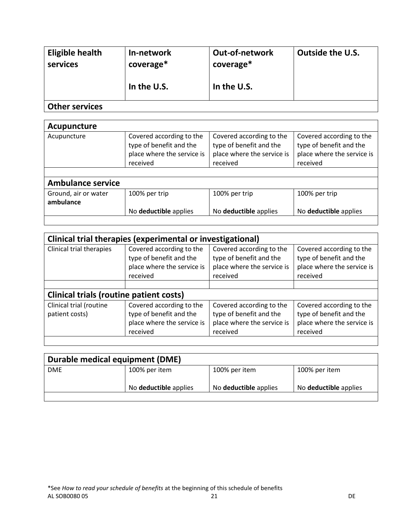| Eligible health<br>services | In-network<br>coverage* | <b>Out-of-network</b><br>coverage* | <b>Outside the U.S.</b> |
|-----------------------------|-------------------------|------------------------------------|-------------------------|
|                             | In the U.S.             | In the U.S.                        |                         |
| <b>Other services</b>       |                         |                                    |                         |

| Acupuncture                       |                                                                                               |                                                                                               |                                                                                               |  |  |
|-----------------------------------|-----------------------------------------------------------------------------------------------|-----------------------------------------------------------------------------------------------|-----------------------------------------------------------------------------------------------|--|--|
| Acupuncture                       | Covered according to the<br>type of benefit and the<br>place where the service is<br>received | Covered according to the<br>type of benefit and the<br>place where the service is<br>received | Covered according to the<br>type of benefit and the<br>place where the service is<br>received |  |  |
|                                   |                                                                                               |                                                                                               |                                                                                               |  |  |
| <b>Ambulance service</b>          |                                                                                               |                                                                                               |                                                                                               |  |  |
| Ground, air or water<br>ambulance | 100% per trip                                                                                 | 100% per trip                                                                                 | 100% per trip                                                                                 |  |  |
|                                   | No deductible applies                                                                         | No deductible applies                                                                         | No deductible applies                                                                         |  |  |

| Clinical trial therapies (experimental or investigational) |                                                                                               |                                                                                               |                                                                                               |  |  |
|------------------------------------------------------------|-----------------------------------------------------------------------------------------------|-----------------------------------------------------------------------------------------------|-----------------------------------------------------------------------------------------------|--|--|
| Clinical trial therapies                                   | Covered according to the<br>type of benefit and the<br>place where the service is<br>received | Covered according to the<br>type of benefit and the<br>place where the service is<br>received | Covered according to the<br>type of benefit and the<br>place where the service is<br>received |  |  |
|                                                            | <b>Clinical trials (routine patient costs)</b>                                                |                                                                                               |                                                                                               |  |  |
| Clinical trial (routine<br>patient costs)                  | Covered according to the<br>type of benefit and the<br>place where the service is<br>received | Covered according to the<br>type of benefit and the<br>place where the service is<br>received | Covered according to the<br>type of benefit and the<br>place where the service is<br>received |  |  |

| Durable medical equipment (DME) |                              |                       |                       |  |  |
|---------------------------------|------------------------------|-----------------------|-----------------------|--|--|
| <b>DME</b>                      | 100% per item                | 100% per item         | 100% per item         |  |  |
|                                 | No <b>deductible</b> applies | No deductible applies | No deductible applies |  |  |
|                                 |                              |                       |                       |  |  |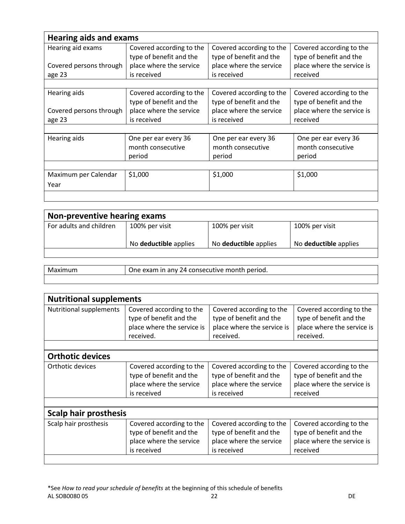| <b>Hearing aids and exams</b> |                                                     |                                                     |                                                     |  |  |
|-------------------------------|-----------------------------------------------------|-----------------------------------------------------|-----------------------------------------------------|--|--|
| Hearing aid exams             | Covered according to the<br>type of benefit and the | Covered according to the<br>type of benefit and the | Covered according to the<br>type of benefit and the |  |  |
| Covered persons through       | place where the service                             | place where the service                             | place where the service is                          |  |  |
| age 23                        | is received                                         | is received                                         | received                                            |  |  |
|                               |                                                     |                                                     |                                                     |  |  |
| Hearing aids                  | Covered according to the                            | Covered according to the                            | Covered according to the                            |  |  |
|                               | type of benefit and the                             | type of benefit and the                             | type of benefit and the                             |  |  |
| Covered persons through       | place where the service                             | place where the service                             | place where the service is                          |  |  |
| age 23                        | is received                                         | is received                                         | received                                            |  |  |
|                               |                                                     |                                                     |                                                     |  |  |
| Hearing aids                  | One per ear every 36<br>month consecutive<br>period | One per ear every 36<br>month consecutive<br>period | One per ear every 36<br>month consecutive<br>period |  |  |
|                               |                                                     |                                                     |                                                     |  |  |
| Maximum per Calendar          | \$1,000                                             | \$1,000                                             | \$1,000                                             |  |  |
| Year                          |                                                     |                                                     |                                                     |  |  |
|                               |                                                     |                                                     |                                                     |  |  |

| Non-preventive hearing exams |                       |                       |                              |  |
|------------------------------|-----------------------|-----------------------|------------------------------|--|
| For adults and children      | 100% per visit        | 100% per visit        | 100% per visit               |  |
|                              | No deductible applies | No deductible applies | No <b>deductible</b> applies |  |
|                              |                       |                       |                              |  |

| Maximum | One exam in any 24 consecutive month period. |
|---------|----------------------------------------------|
|         |                                              |

| <b>Nutritional supplements</b> |                                                                                                |                                                                                                |                                                                                                |  |
|--------------------------------|------------------------------------------------------------------------------------------------|------------------------------------------------------------------------------------------------|------------------------------------------------------------------------------------------------|--|
| <b>Nutritional supplements</b> | Covered according to the<br>type of benefit and the<br>place where the service is<br>received. | Covered according to the<br>type of benefit and the<br>place where the service is<br>received. | Covered according to the<br>type of benefit and the<br>place where the service is<br>received. |  |
|                                |                                                                                                |                                                                                                |                                                                                                |  |
| <b>Orthotic devices</b>        |                                                                                                |                                                                                                |                                                                                                |  |
| Orthotic devices               | Covered according to the<br>type of benefit and the<br>place where the service<br>is received  | Covered according to the<br>type of benefit and the<br>place where the service<br>is received  | Covered according to the<br>type of benefit and the<br>place where the service is<br>received  |  |
|                                |                                                                                                |                                                                                                |                                                                                                |  |
| <b>Scalp hair prosthesis</b>   |                                                                                                |                                                                                                |                                                                                                |  |
| Scalp hair prosthesis          | Covered according to the<br>type of benefit and the<br>place where the service<br>is received  | Covered according to the<br>type of benefit and the<br>place where the service<br>is received  | Covered according to the<br>type of benefit and the<br>place where the service is<br>received  |  |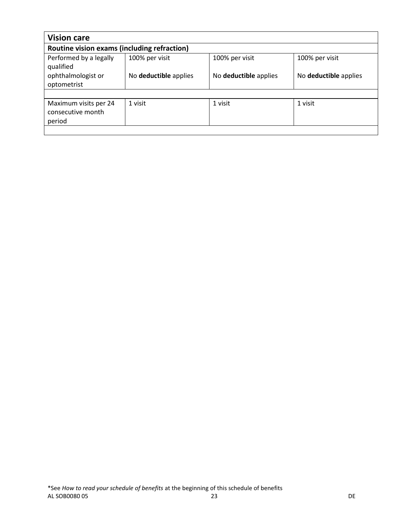| <b>Vision care</b>                                   |                       |                       |                       |  |
|------------------------------------------------------|-----------------------|-----------------------|-----------------------|--|
| Routine vision exams (including refraction)          |                       |                       |                       |  |
| Performed by a legally<br>qualified                  | 100% per visit        | 100% per visit        | 100% per visit        |  |
| ophthalmologist or<br>optometrist                    | No deductible applies | No deductible applies | No deductible applies |  |
|                                                      |                       |                       |                       |  |
| Maximum visits per 24<br>consecutive month<br>period | 1 visit               | 1 visit               | 1 visit               |  |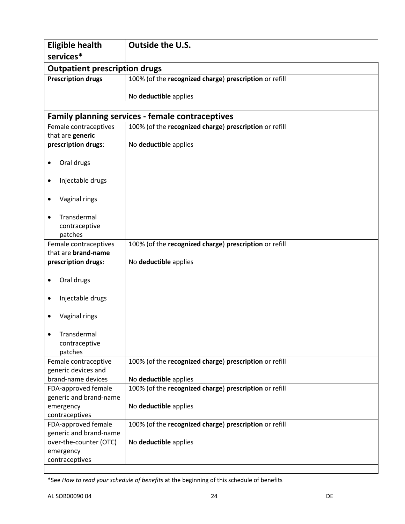| <b>Eligible health</b>                    | <b>Outside the U.S.</b>                                 |  |  |  |
|-------------------------------------------|---------------------------------------------------------|--|--|--|
| services*                                 |                                                         |  |  |  |
| <b>Outpatient prescription drugs</b>      |                                                         |  |  |  |
| <b>Prescription drugs</b>                 | 100% (of the recognized charge) prescription or refill  |  |  |  |
|                                           |                                                         |  |  |  |
|                                           | No deductible applies                                   |  |  |  |
|                                           | <b>Family planning services - female contraceptives</b> |  |  |  |
| Female contraceptives                     | 100% (of the recognized charge) prescription or refill  |  |  |  |
| that are generic                          |                                                         |  |  |  |
| prescription drugs:                       | No deductible applies                                   |  |  |  |
|                                           |                                                         |  |  |  |
| Oral drugs                                |                                                         |  |  |  |
|                                           |                                                         |  |  |  |
| Injectable drugs<br>٠                     |                                                         |  |  |  |
| Vaginal rings<br>٠                        |                                                         |  |  |  |
|                                           |                                                         |  |  |  |
| Transdermal                               |                                                         |  |  |  |
| contraceptive                             |                                                         |  |  |  |
| patches                                   |                                                         |  |  |  |
| Female contraceptives                     | 100% (of the recognized charge) prescription or refill  |  |  |  |
| that are brand-name                       |                                                         |  |  |  |
| prescription drugs:                       | No deductible applies                                   |  |  |  |
|                                           |                                                         |  |  |  |
| Oral drugs<br>٠                           |                                                         |  |  |  |
| Injectable drugs                          |                                                         |  |  |  |
|                                           |                                                         |  |  |  |
| Vaginal rings                             |                                                         |  |  |  |
|                                           |                                                         |  |  |  |
| Transdermal                               |                                                         |  |  |  |
| contraceptive                             |                                                         |  |  |  |
| patches                                   |                                                         |  |  |  |
| Female contraceptive                      | 100% (of the recognized charge) prescription or refill  |  |  |  |
| generic devices and<br>brand-name devices | No deductible applies                                   |  |  |  |
| FDA-approved female                       | 100% (of the recognized charge) prescription or refill  |  |  |  |
| generic and brand-name                    |                                                         |  |  |  |
| emergency                                 | No deductible applies                                   |  |  |  |
| contraceptives                            |                                                         |  |  |  |
| FDA-approved female                       | 100% (of the recognized charge) prescription or refill  |  |  |  |
| generic and brand-name                    |                                                         |  |  |  |
| over-the-counter (OTC)                    | No deductible applies                                   |  |  |  |
| emergency                                 |                                                         |  |  |  |
| contraceptives                            |                                                         |  |  |  |
|                                           |                                                         |  |  |  |

<sup>\*</sup>See *How to read your schedule of benefits* at the beginning of this schedule of benefits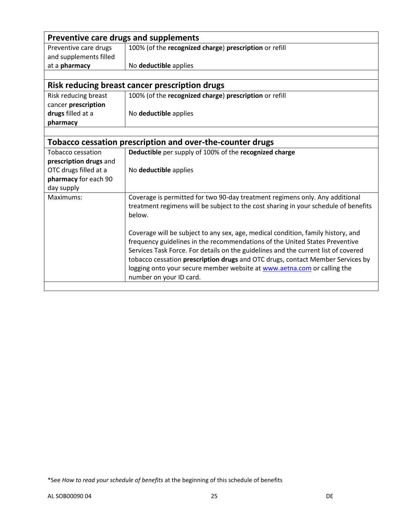|                        | Preventive care drugs and supplements                                               |  |  |  |
|------------------------|-------------------------------------------------------------------------------------|--|--|--|
| Preventive care drugs  | 100% (of the recognized charge) prescription or refill                              |  |  |  |
| and supplements filled |                                                                                     |  |  |  |
| at a pharmacy          | No deductible applies                                                               |  |  |  |
|                        |                                                                                     |  |  |  |
|                        | Risk reducing breast cancer prescription drugs                                      |  |  |  |
| Risk reducing breast   | 100% (of the recognized charge) prescription or refill                              |  |  |  |
| cancer prescription    |                                                                                     |  |  |  |
| drugs filled at a      | No deductible applies                                                               |  |  |  |
| pharmacy               |                                                                                     |  |  |  |
|                        |                                                                                     |  |  |  |
|                        | Tobacco cessation prescription and over-the-counter drugs                           |  |  |  |
| Tobacco cessation      | Deductible per supply of 100% of the recognized charge                              |  |  |  |
| prescription drugs and |                                                                                     |  |  |  |
| OTC drugs filled at a  | No deductible applies                                                               |  |  |  |
| pharmacy for each 90   |                                                                                     |  |  |  |
| day supply             |                                                                                     |  |  |  |
| Maximums:              | Coverage is permitted for two 90-day treatment regimens only. Any additional        |  |  |  |
|                        | treatment regimens will be subject to the cost sharing in your schedule of benefits |  |  |  |
|                        | below.                                                                              |  |  |  |
|                        |                                                                                     |  |  |  |
|                        | Coverage will be subject to any sex, age, medical condition, family history, and    |  |  |  |
|                        | frequency guidelines in the recommendations of the United States Preventive         |  |  |  |
|                        | Services Task Force. For details on the guidelines and the current list of covered  |  |  |  |
|                        | tobacco cessation prescription drugs and OTC drugs, contact Member Services by      |  |  |  |
|                        | logging onto your secure member website at www.aetna.com or calling the             |  |  |  |
|                        | number on your ID card.                                                             |  |  |  |

<sup>\*</sup>See *How to read your schedule of benefits* at the beginning of this schedule of benefits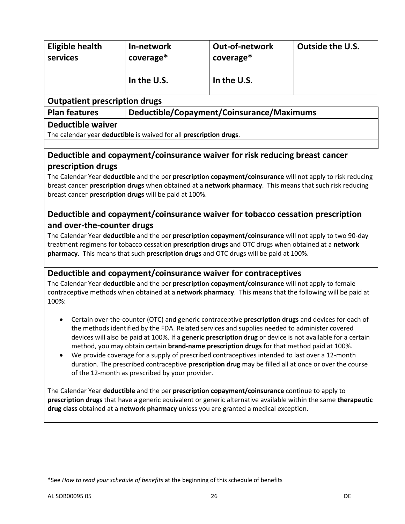| <b>Eligible health</b>                                                                                                                                                                                   | In-network                                                                                                                                                             | <b>Out-of-network</b>                     | <b>Outside the U.S.</b>                                                                                     |  |
|----------------------------------------------------------------------------------------------------------------------------------------------------------------------------------------------------------|------------------------------------------------------------------------------------------------------------------------------------------------------------------------|-------------------------------------------|-------------------------------------------------------------------------------------------------------------|--|
| services                                                                                                                                                                                                 | coverage*                                                                                                                                                              | coverage*                                 |                                                                                                             |  |
|                                                                                                                                                                                                          |                                                                                                                                                                        |                                           |                                                                                                             |  |
|                                                                                                                                                                                                          | In the U.S.                                                                                                                                                            | In the U.S.                               |                                                                                                             |  |
| <b>Outpatient prescription drugs</b>                                                                                                                                                                     |                                                                                                                                                                        |                                           |                                                                                                             |  |
| <b>Plan features</b>                                                                                                                                                                                     |                                                                                                                                                                        | Deductible/Copayment/Coinsurance/Maximums |                                                                                                             |  |
| <b>Deductible waiver</b>                                                                                                                                                                                 |                                                                                                                                                                        |                                           |                                                                                                             |  |
|                                                                                                                                                                                                          | The calendar year deductible is waived for all prescription drugs.                                                                                                     |                                           |                                                                                                             |  |
|                                                                                                                                                                                                          |                                                                                                                                                                        |                                           |                                                                                                             |  |
|                                                                                                                                                                                                          | Deductible and copayment/coinsurance waiver for risk reducing breast cancer                                                                                            |                                           |                                                                                                             |  |
| prescription drugs                                                                                                                                                                                       |                                                                                                                                                                        |                                           |                                                                                                             |  |
|                                                                                                                                                                                                          |                                                                                                                                                                        |                                           | The Calendar Year deductible and the per prescription copayment/coinsurance will not apply to risk reducing |  |
|                                                                                                                                                                                                          |                                                                                                                                                                        |                                           | breast cancer prescription drugs when obtained at a network pharmacy. This means that such risk reducing    |  |
|                                                                                                                                                                                                          | breast cancer prescription drugs will be paid at 100%.                                                                                                                 |                                           |                                                                                                             |  |
|                                                                                                                                                                                                          | Deductible and copayment/coinsurance waiver for tobacco cessation prescription                                                                                         |                                           |                                                                                                             |  |
| and over-the-counter drugs                                                                                                                                                                               |                                                                                                                                                                        |                                           |                                                                                                             |  |
|                                                                                                                                                                                                          |                                                                                                                                                                        |                                           | The Calendar Year deductible and the per prescription copayment/coinsurance will not apply to two 90-day    |  |
|                                                                                                                                                                                                          | treatment regimens for tobacco cessation prescription drugs and OTC drugs when obtained at a network                                                                   |                                           |                                                                                                             |  |
|                                                                                                                                                                                                          | pharmacy. This means that such prescription drugs and OTC drugs will be paid at 100%.                                                                                  |                                           |                                                                                                             |  |
|                                                                                                                                                                                                          |                                                                                                                                                                        |                                           |                                                                                                             |  |
|                                                                                                                                                                                                          | Deductible and copayment/coinsurance waiver for contraceptives<br>The Calendar Year deductible and the per prescription copayment/coinsurance will not apply to female |                                           |                                                                                                             |  |
|                                                                                                                                                                                                          |                                                                                                                                                                        |                                           | contraceptive methods when obtained at a network pharmacy. This means that the following will be paid at    |  |
| 100%:                                                                                                                                                                                                    |                                                                                                                                                                        |                                           |                                                                                                             |  |
|                                                                                                                                                                                                          |                                                                                                                                                                        |                                           |                                                                                                             |  |
|                                                                                                                                                                                                          |                                                                                                                                                                        |                                           | Certain over-the-counter (OTC) and generic contraceptive prescription drugs and devices for each of         |  |
|                                                                                                                                                                                                          | the methods identified by the FDA. Related services and supplies needed to administer covered                                                                          |                                           |                                                                                                             |  |
| devices will also be paid at 100%. If a generic prescription drug or device is not available for a certain<br>method, you may obtain certain brand-name prescription drugs for that method paid at 100%. |                                                                                                                                                                        |                                           |                                                                                                             |  |
|                                                                                                                                                                                                          |                                                                                                                                                                        |                                           |                                                                                                             |  |
| We provide coverage for a supply of prescribed contraceptives intended to last over a 12-month<br>duration. The prescribed contraceptive prescription drug may be filled all at once or over the course  |                                                                                                                                                                        |                                           |                                                                                                             |  |
|                                                                                                                                                                                                          | of the 12-month as prescribed by your provider.                                                                                                                        |                                           |                                                                                                             |  |
|                                                                                                                                                                                                          |                                                                                                                                                                        |                                           |                                                                                                             |  |
| The Calendar Year deductible and the per prescription copayment/coinsurance continue to apply to                                                                                                         |                                                                                                                                                                        |                                           |                                                                                                             |  |
| prescription drugs that have a generic equivalent or generic alternative available within the same therapeutic<br>drug class obtained at a network pharmacy unless you are granted a medical exception.  |                                                                                                                                                                        |                                           |                                                                                                             |  |
|                                                                                                                                                                                                          |                                                                                                                                                                        |                                           |                                                                                                             |  |
|                                                                                                                                                                                                          |                                                                                                                                                                        |                                           |                                                                                                             |  |
|                                                                                                                                                                                                          |                                                                                                                                                                        |                                           |                                                                                                             |  |

<sup>\*</sup>See *How to read your schedule of benefits* at the beginning of this schedule of benefits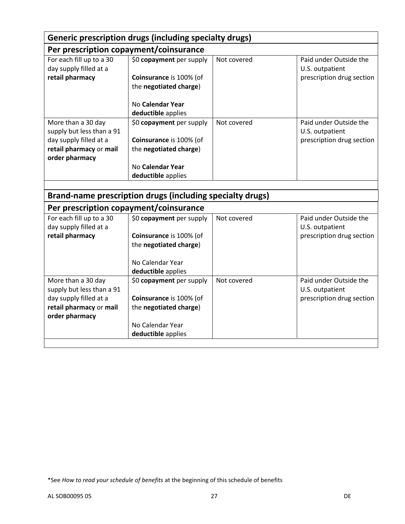|                                                                                                                        | <b>Generic prescription drugs (including specialty drugs)</b>                                                                                 |             |                                                                        |
|------------------------------------------------------------------------------------------------------------------------|-----------------------------------------------------------------------------------------------------------------------------------------------|-------------|------------------------------------------------------------------------|
| Per prescription copayment/coinsurance                                                                                 |                                                                                                                                               |             |                                                                        |
| For each fill up to a 30<br>day supply filled at a<br>retail pharmacy                                                  | \$0 copayment per supply<br>Coinsurance is 100% (of<br>the negotiated charge)                                                                 | Not covered | Paid under Outside the<br>U.S. outpatient<br>prescription drug section |
|                                                                                                                        | No Calendar Year<br>deductible applies                                                                                                        |             |                                                                        |
| More than a 30 day<br>supply but less than a 91<br>day supply filled at a                                              | \$0 copayment per supply<br>Coinsurance is 100% (of                                                                                           | Not covered | Paid under Outside the<br>U.S. outpatient<br>prescription drug section |
| retail pharmacy or mail<br>order pharmacy                                                                              | the negotiated charge)                                                                                                                        |             |                                                                        |
|                                                                                                                        | No Calendar Year<br>deductible applies                                                                                                        |             |                                                                        |
|                                                                                                                        | Brand-name prescription drugs (including specialty drugs)                                                                                     |             |                                                                        |
| Per prescription copayment/coinsurance                                                                                 |                                                                                                                                               |             |                                                                        |
| For each fill up to a 30<br>day supply filled at a<br>retail pharmacy                                                  | \$0 copayment per supply<br>Coinsurance is 100% (of<br>the negotiated charge)<br>No Calendar Year                                             | Not covered | Paid under Outside the<br>U.S. outpatient<br>prescription drug section |
| More than a 30 day<br>supply but less than a 91<br>day supply filled at a<br>retail pharmacy or mail<br>order pharmacy | deductible applies<br>\$0 copayment per supply<br>Coinsurance is 100% (of<br>the negotiated charge)<br>No Calendar Year<br>deductible applies | Not covered | Paid under Outside the<br>U.S. outpatient<br>prescription drug section |

<sup>\*</sup>See *How to read your schedule of benefits* at the beginning of this schedule of benefits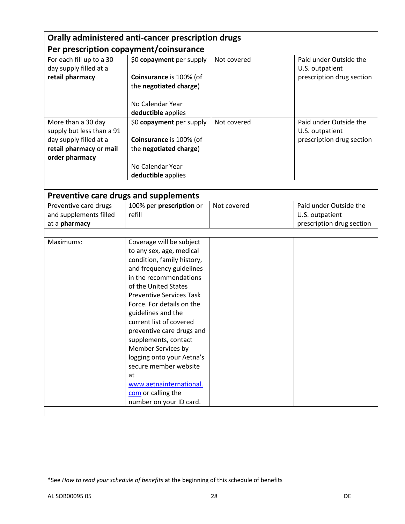| Orally administered anti-cancer prescription drugs                                                                     |                                                                                                                                                                                                                                                                                                                                                                                                                                                                                                      |             |                                                                        |  |
|------------------------------------------------------------------------------------------------------------------------|------------------------------------------------------------------------------------------------------------------------------------------------------------------------------------------------------------------------------------------------------------------------------------------------------------------------------------------------------------------------------------------------------------------------------------------------------------------------------------------------------|-------------|------------------------------------------------------------------------|--|
| Per prescription copayment/coinsurance                                                                                 |                                                                                                                                                                                                                                                                                                                                                                                                                                                                                                      |             |                                                                        |  |
| For each fill up to a 30<br>day supply filled at a<br>retail pharmacy                                                  | \$0 copayment per supply<br>Coinsurance is 100% (of<br>the negotiated charge)                                                                                                                                                                                                                                                                                                                                                                                                                        | Not covered | Paid under Outside the<br>U.S. outpatient<br>prescription drug section |  |
|                                                                                                                        | No Calendar Year<br>deductible applies                                                                                                                                                                                                                                                                                                                                                                                                                                                               |             |                                                                        |  |
| More than a 30 day<br>supply but less than a 91<br>day supply filled at a<br>retail pharmacy or mail<br>order pharmacy | \$0 copayment per supply<br>Coinsurance is 100% (of<br>the negotiated charge)<br>No Calendar Year<br>deductible applies                                                                                                                                                                                                                                                                                                                                                                              | Not covered | Paid under Outside the<br>U.S. outpatient<br>prescription drug section |  |
|                                                                                                                        |                                                                                                                                                                                                                                                                                                                                                                                                                                                                                                      |             |                                                                        |  |
| Preventive care drugs and supplements                                                                                  |                                                                                                                                                                                                                                                                                                                                                                                                                                                                                                      |             |                                                                        |  |
| Preventive care drugs<br>and supplements filled<br>at a pharmacy                                                       | 100% per prescription or<br>refill                                                                                                                                                                                                                                                                                                                                                                                                                                                                   | Not covered | Paid under Outside the<br>U.S. outpatient<br>prescription drug section |  |
| Maximums:                                                                                                              | Coverage will be subject<br>to any sex, age, medical<br>condition, family history,<br>and frequency guidelines<br>in the recommendations<br>of the United States<br><b>Preventive Services Task</b><br>Force. For details on the<br>guidelines and the<br>current list of covered<br>preventive care drugs and<br>supplements, contact<br>Member Services by<br>logging onto your Aetna's<br>secure member website<br>at<br>www.aetnainternational.<br>com or calling the<br>number on your ID card. |             |                                                                        |  |

<sup>\*</sup>See *How to read your schedule of benefits* at the beginning of this schedule of benefits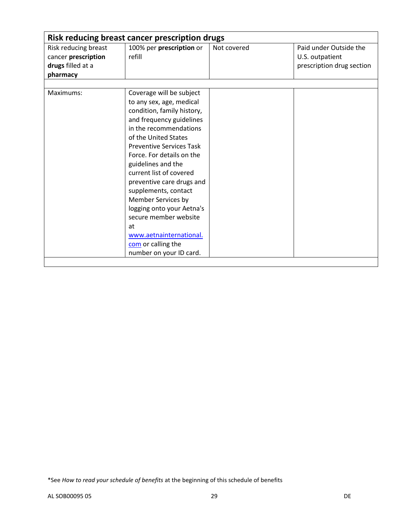| <b>Risk reducing breast cancer prescription drugs</b>                        |                                                                                                                                                                                                                                                                                                                                                                                                                                                                                                      |             |                                                                        |  |
|------------------------------------------------------------------------------|------------------------------------------------------------------------------------------------------------------------------------------------------------------------------------------------------------------------------------------------------------------------------------------------------------------------------------------------------------------------------------------------------------------------------------------------------------------------------------------------------|-------------|------------------------------------------------------------------------|--|
| Risk reducing breast<br>cancer prescription<br>drugs filled at a<br>pharmacy | 100% per prescription or<br>refill                                                                                                                                                                                                                                                                                                                                                                                                                                                                   | Not covered | Paid under Outside the<br>U.S. outpatient<br>prescription drug section |  |
|                                                                              |                                                                                                                                                                                                                                                                                                                                                                                                                                                                                                      |             |                                                                        |  |
| Maximums:                                                                    | Coverage will be subject<br>to any sex, age, medical<br>condition, family history,<br>and frequency guidelines<br>in the recommendations<br>of the United States<br><b>Preventive Services Task</b><br>Force. For details on the<br>guidelines and the<br>current list of covered<br>preventive care drugs and<br>supplements, contact<br>Member Services by<br>logging onto your Aetna's<br>secure member website<br>at<br>www.aetnainternational.<br>com or calling the<br>number on your ID card. |             |                                                                        |  |

<sup>\*</sup>See *How to read your schedule of benefits* at the beginning of this schedule of benefits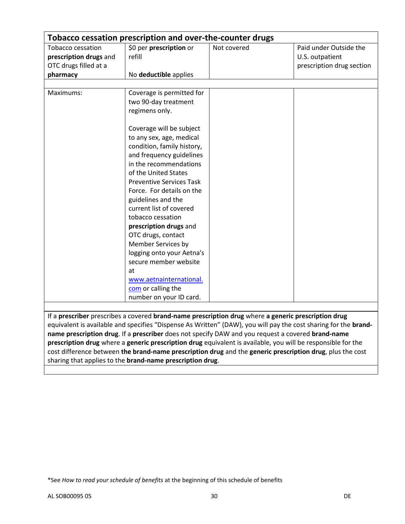| Tobacco cessation prescription and over-the-counter drugs |                                                                                                     |             |                                                                                                                 |
|-----------------------------------------------------------|-----------------------------------------------------------------------------------------------------|-------------|-----------------------------------------------------------------------------------------------------------------|
| Tobacco cessation                                         | \$0 per prescription or                                                                             | Not covered | Paid under Outside the                                                                                          |
| prescription drugs and                                    | refill                                                                                              |             | U.S. outpatient                                                                                                 |
| OTC drugs filled at a                                     |                                                                                                     |             | prescription drug section                                                                                       |
| pharmacy                                                  | No deductible applies                                                                               |             |                                                                                                                 |
| Maximums:                                                 | Coverage is permitted for                                                                           |             |                                                                                                                 |
|                                                           | two 90-day treatment                                                                                |             |                                                                                                                 |
|                                                           | regimens only.                                                                                      |             |                                                                                                                 |
|                                                           |                                                                                                     |             |                                                                                                                 |
|                                                           | Coverage will be subject                                                                            |             |                                                                                                                 |
|                                                           | to any sex, age, medical                                                                            |             |                                                                                                                 |
|                                                           | condition, family history,                                                                          |             |                                                                                                                 |
|                                                           | and frequency guidelines                                                                            |             |                                                                                                                 |
|                                                           | in the recommendations                                                                              |             |                                                                                                                 |
|                                                           | of the United States                                                                                |             |                                                                                                                 |
|                                                           | <b>Preventive Services Task</b>                                                                     |             |                                                                                                                 |
|                                                           | Force. For details on the                                                                           |             |                                                                                                                 |
|                                                           | guidelines and the                                                                                  |             |                                                                                                                 |
|                                                           | current list of covered                                                                             |             |                                                                                                                 |
|                                                           | tobacco cessation                                                                                   |             |                                                                                                                 |
|                                                           | prescription drugs and                                                                              |             |                                                                                                                 |
|                                                           | OTC drugs, contact                                                                                  |             |                                                                                                                 |
|                                                           | Member Services by                                                                                  |             |                                                                                                                 |
|                                                           | logging onto your Aetna's                                                                           |             |                                                                                                                 |
|                                                           | secure member website                                                                               |             |                                                                                                                 |
|                                                           | at                                                                                                  |             |                                                                                                                 |
|                                                           | www.aetnainternational.                                                                             |             |                                                                                                                 |
|                                                           | com or calling the                                                                                  |             |                                                                                                                 |
|                                                           | number on your ID card.                                                                             |             |                                                                                                                 |
|                                                           |                                                                                                     |             |                                                                                                                 |
|                                                           | If a prescriber prescribes a covered brand-name prescription drug where a generic prescription drug |             |                                                                                                                 |
|                                                           |                                                                                                     |             | equivalent is available and specifies "Dispense As Written" (DAW), you will pay the cost sharing for the brand- |
|                                                           | name prescription drug. If a prescriber does not specify DAW and you request a covered brand-name   |             |                                                                                                                 |
|                                                           |                                                                                                     |             | prescription drug where a generic prescription drug equivalent is available, you will be responsible for the    |
|                                                           |                                                                                                     |             | cost difference between the brand-name prescription drug and the generic prescription drug, plus the cost       |

sharing that applies to the **brand-name prescription drug**.

<sup>\*</sup>See *How to read your schedule of benefits* at the beginning of this schedule of benefits